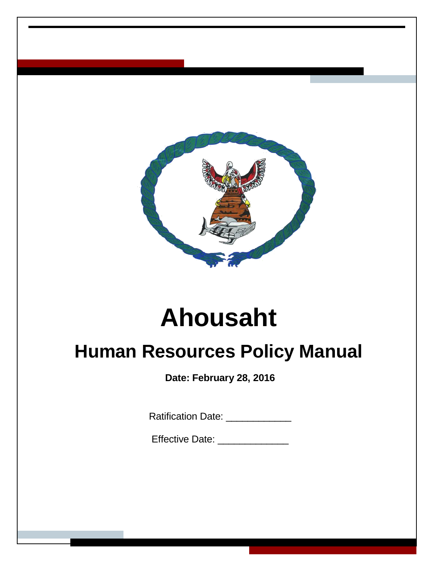

# **Ahousaht**

## **Human Resources Policy Manual**

**Date: February 28, 2016**

Ratification Date: **With Property** 

Effective Date: \_\_\_\_\_\_\_\_\_\_\_\_\_\_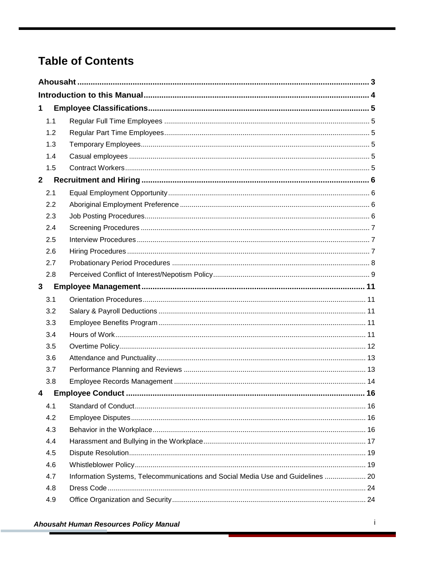## **Table of Contents**

| $\mathbf 1$  |     |                                                                                 |      |
|--------------|-----|---------------------------------------------------------------------------------|------|
|              | 1.1 |                                                                                 |      |
|              | 1.2 |                                                                                 |      |
|              | 1.3 |                                                                                 |      |
|              | 1.4 |                                                                                 |      |
|              | 1.5 |                                                                                 |      |
| $\mathbf{2}$ |     |                                                                                 |      |
|              | 2.1 |                                                                                 |      |
|              | 2.2 |                                                                                 |      |
|              | 2.3 |                                                                                 |      |
|              | 2.4 |                                                                                 |      |
|              | 2.5 |                                                                                 |      |
|              | 2.6 |                                                                                 |      |
|              | 2.7 |                                                                                 |      |
|              | 2.8 |                                                                                 |      |
| 3            |     |                                                                                 |      |
|              | 3.1 |                                                                                 |      |
|              | 3.2 |                                                                                 |      |
|              | 3.3 |                                                                                 |      |
|              | 3.4 |                                                                                 |      |
|              | 3.5 |                                                                                 |      |
|              | 3.6 |                                                                                 |      |
|              | 3.7 |                                                                                 |      |
|              | 3.8 |                                                                                 |      |
| 4            |     |                                                                                 | . 16 |
|              | 4.1 |                                                                                 |      |
|              | 4.2 |                                                                                 |      |
|              | 4.3 |                                                                                 |      |
|              | 4.4 |                                                                                 |      |
|              | 4.5 |                                                                                 |      |
|              | 4.6 |                                                                                 |      |
|              | 4.7 | Information Systems, Telecommunications and Social Media Use and Guidelines  20 |      |
|              | 4.8 |                                                                                 |      |
|              | 4.9 |                                                                                 |      |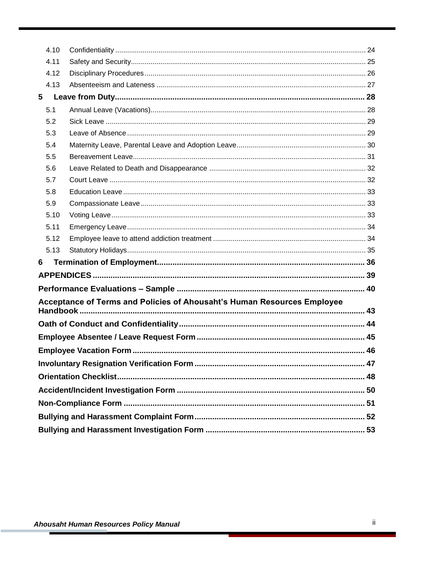|   | 4.10 |                                                                         |    |  |  |  |  |  |  |  |
|---|------|-------------------------------------------------------------------------|----|--|--|--|--|--|--|--|
|   | 4.11 |                                                                         |    |  |  |  |  |  |  |  |
|   | 4.12 |                                                                         |    |  |  |  |  |  |  |  |
|   | 4.13 |                                                                         |    |  |  |  |  |  |  |  |
| 5 |      |                                                                         |    |  |  |  |  |  |  |  |
|   | 5.1  |                                                                         |    |  |  |  |  |  |  |  |
|   | 5.2  |                                                                         |    |  |  |  |  |  |  |  |
|   | 5.3  |                                                                         |    |  |  |  |  |  |  |  |
|   | 5.4  |                                                                         |    |  |  |  |  |  |  |  |
|   | 5.5  |                                                                         |    |  |  |  |  |  |  |  |
|   | 5.6  |                                                                         |    |  |  |  |  |  |  |  |
|   | 5.7  |                                                                         |    |  |  |  |  |  |  |  |
|   | 5.8  |                                                                         |    |  |  |  |  |  |  |  |
|   | 5.9  |                                                                         |    |  |  |  |  |  |  |  |
|   | 5.10 |                                                                         |    |  |  |  |  |  |  |  |
|   | 5.11 |                                                                         |    |  |  |  |  |  |  |  |
|   | 5.12 |                                                                         |    |  |  |  |  |  |  |  |
|   | 5.13 |                                                                         |    |  |  |  |  |  |  |  |
| 6 |      |                                                                         |    |  |  |  |  |  |  |  |
|   |      |                                                                         |    |  |  |  |  |  |  |  |
|   |      |                                                                         |    |  |  |  |  |  |  |  |
|   |      | Acceptance of Terms and Policies of Ahousaht's Human Resources Employee |    |  |  |  |  |  |  |  |
|   |      |                                                                         |    |  |  |  |  |  |  |  |
|   |      |                                                                         |    |  |  |  |  |  |  |  |
|   |      |                                                                         |    |  |  |  |  |  |  |  |
|   |      |                                                                         |    |  |  |  |  |  |  |  |
|   |      |                                                                         | 47 |  |  |  |  |  |  |  |
|   |      |                                                                         |    |  |  |  |  |  |  |  |
|   |      |                                                                         |    |  |  |  |  |  |  |  |
|   |      |                                                                         |    |  |  |  |  |  |  |  |
|   |      |                                                                         |    |  |  |  |  |  |  |  |
|   |      |                                                                         |    |  |  |  |  |  |  |  |
|   |      |                                                                         |    |  |  |  |  |  |  |  |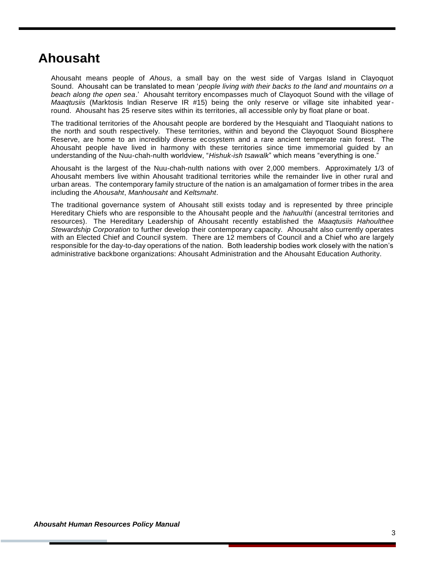## <span id="page-3-0"></span>**Ahousaht**

Ahousaht means people of *Ahous*, a small bay on the west side of Vargas Island in Clayoquot Sound. Ahousaht can be translated to mean '*people living with their backs to the land and mountains on a beach along the open sea*.' Ahousaht territory encompasses much of Clayoquot Sound with the village of *Maaqtusiis* (Marktosis Indian Reserve IR #15) being the only reserve or village site inhabited yearround. Ahousaht has 25 reserve sites within its territories, all accessible only by float plane or boat.

The traditional territories of the Ahousaht people are bordered by the Hesquiaht and Tlaoquiaht nations to the north and south respectively. These territories, within and beyond the Clayoquot Sound Biosphere Reserve, are home to an incredibly diverse ecosystem and a rare ancient temperate rain forest. The Ahousaht people have lived in harmony with these territories since time immemorial guided by an understanding of the Nuu-chah-nulth worldview, "*Hishuk-ish tsawalk*" which means "everything is one."

Ahousaht is the largest of the Nuu-chah-nulth nations with over 2,000 members. Approximately 1/3 of Ahousaht members live within Ahousaht traditional territories while the remainder live in other rural and urban areas. The contemporary family structure of the nation is an amalgamation of former tribes in the area including the *Ahousaht*, *Manhousaht* and *Keltsmaht*.

The traditional governance system of Ahousaht still exists today and is represented by three principle Hereditary Chiefs who are responsible to the Ahousaht people and the *hahuulthi* (ancestral territories and resources). The Hereditary Leadership of Ahousaht recently established the *Maaqtusiis Hahoulthee Stewardship Corporation* to further develop their contemporary capacity. Ahousaht also currently operates with an Elected Chief and Council system. There are 12 members of Council and a Chief who are largely responsible for the day-to-day operations of the nation. Both leadership bodies work closely with the nation's administrative backbone organizations: Ahousaht Administration and the Ahousaht Education Authority.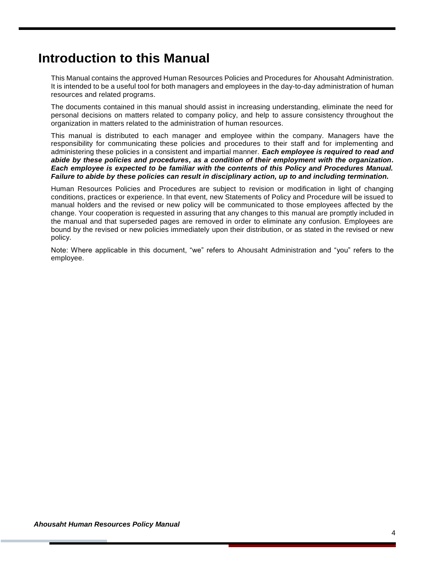## <span id="page-4-0"></span>**Introduction to this Manual**

This Manual contains the approved Human Resources Policies and Procedures for Ahousaht Administration. It is intended to be a useful tool for both managers and employees in the day-to-day administration of human resources and related programs.

The documents contained in this manual should assist in increasing understanding, eliminate the need for personal decisions on matters related to company policy, and help to assure consistency throughout the organization in matters related to the administration of human resources.

This manual is distributed to each manager and employee within the company. Managers have the responsibility for communicating these policies and procedures to their staff and for implementing and administering these policies in a consistent and impartial manner. *Each employee is required to read and abide by these policies and procedures, as a condition of their employment with the organization. Each employee is expected to be familiar with the contents of this Policy and Procedures Manual. Failure to abide by these policies can result in disciplinary action, up to and including termination.*

Human Resources Policies and Procedures are subject to revision or modification in light of changing conditions, practices or experience. In that event, new Statements of Policy and Procedure will be issued to manual holders and the revised or new policy will be communicated to those employees affected by the change. Your cooperation is requested in assuring that any changes to this manual are promptly included in the manual and that superseded pages are removed in order to eliminate any confusion. Employees are bound by the revised or new policies immediately upon their distribution, or as stated in the revised or new policy.

Note: Where applicable in this document, "we" refers to Ahousaht Administration and "you" refers to the employee.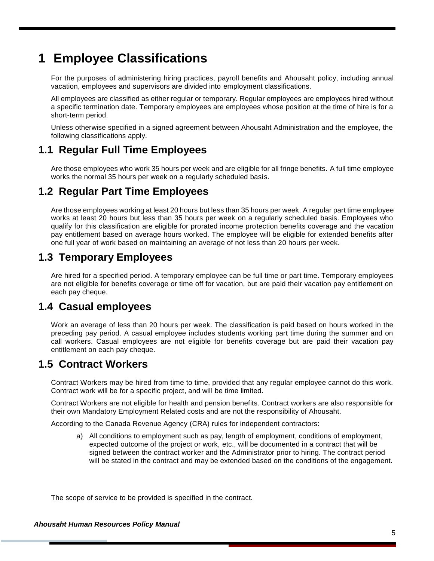## <span id="page-5-0"></span>**1 Employee Classifications**

For the purposes of administering hiring practices, payroll benefits and Ahousaht policy, including annual vacation, employees and supervisors are divided into employment classifications.

All employees are classified as either regular or temporary. Regular employees are employees hired without a specific termination date. Temporary employees are employees whose position at the time of hire is for a short-term period.

Unless otherwise specified in a signed agreement between Ahousaht Administration and the employee, the following classifications apply.

### <span id="page-5-1"></span>**1.1 Regular Full Time Employees**

Are those employees who work 35 hours per week and are eligible for all fringe benefits. A full time employee works the normal 35 hours per week on a regularly scheduled basis.

### <span id="page-5-2"></span>**1.2 Regular Part Time Employees**

Are those employees working at least 20 hours but less than 35 hours per week. A regular part time employee works at least 20 hours but less than 35 hours per week on a regularly scheduled basis. Employees who qualify for this classification are eligible for prorated income protection benefits coverage and the vacation pay entitlement based on average hours worked. The employee will be eligible for extended benefits after one full year of work based on maintaining an average of not less than 20 hours per week.

### <span id="page-5-3"></span>**1.3 Temporary Employees**

Are hired for a specified period. A temporary employee can be full time or part time. Temporary employees are not eligible for benefits coverage or time off for vacation, but are paid their vacation pay entitlement on each pay cheque.

### <span id="page-5-4"></span>**1.4 Casual employees**

Work an average of less than 20 hours per week. The classification is paid based on hours worked in the preceding pay period. A casual employee includes students working part time during the summer and on call workers. Casual employees are not eligible for benefits coverage but are paid their vacation pay entitlement on each pay cheque.

### <span id="page-5-5"></span>**1.5 Contract Workers**

Contract Workers may be hired from time to time, provided that any regular employee cannot do this work. Contract work will be for a specific project, and will be time limited.

Contract Workers are not eligible for health and pension benefits. Contract workers are also responsible for their own Mandatory Employment Related costs and are not the responsibility of Ahousaht.

According to the Canada Revenue Agency (CRA) rules for independent contractors:

a) All conditions to employment such as pay, length of employment, conditions of employment, expected outcome of the project or work, etc., will be documented in a contract that will be signed between the contract worker and the Administrator prior to hiring. The contract period will be stated in the contract and may be extended based on the conditions of the engagement.

The scope of service to be provided is specified in the contract.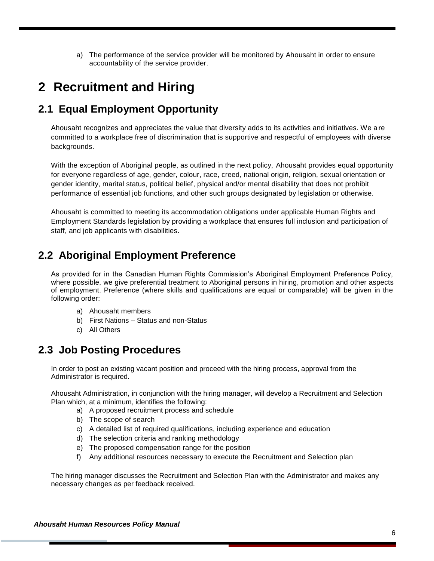a) The performance of the service provider will be monitored by Ahousaht in order to ensure accountability of the service provider.

## <span id="page-6-0"></span>**2 Recruitment and Hiring**

### <span id="page-6-1"></span>**2.1 Equal Employment Opportunity**

Ahousaht recognizes and appreciates the value that diversity adds to its activities and initiatives. We are committed to a workplace free of discrimination that is supportive and respectful of employees with diverse backgrounds.

With the exception of Aboriginal people, as outlined in the next policy, Ahousaht provides equal opportunity for everyone regardless of age, gender, colour, race, creed, national origin, religion, sexual orientation or gender identity, marital status, political belief, physical and/or mental disability that does not prohibit performance of essential job functions, and other such groups designated by legislation or otherwise.

Ahousaht is committed to meeting its accommodation obligations under applicable Human Rights and Employment Standards legislation by providing a workplace that ensures full inclusion and participation of staff, and job applicants with disabilities.

### <span id="page-6-2"></span>**2.2 Aboriginal Employment Preference**

As provided for in the Canadian Human Rights Commission's Aboriginal Employment Preference Policy, where possible, we give preferential treatment to Aboriginal persons in hiring, promotion and other aspects of employment. Preference (where skills and qualifications are equal or comparable) will be given in the following order:

- a) Ahousaht members
- b) First Nations Status and non-Status
- c) All Others

### <span id="page-6-3"></span>**2.3 Job Posting Procedures**

In order to post an existing vacant position and proceed with the hiring process, approval from the Administrator is required.

Ahousaht Administration, in conjunction with the hiring manager, will develop a Recruitment and Selection Plan which, at a minimum, identifies the following:

- a) A proposed recruitment process and schedule
- b) The scope of search
- c) A detailed list of required qualifications, including experience and education
- d) The selection criteria and ranking methodology
- e) The proposed compensation range for the position
- f) Any additional resources necessary to execute the Recruitment and Selection plan

The hiring manager discusses the Recruitment and Selection Plan with the Administrator and makes any necessary changes as per feedback received.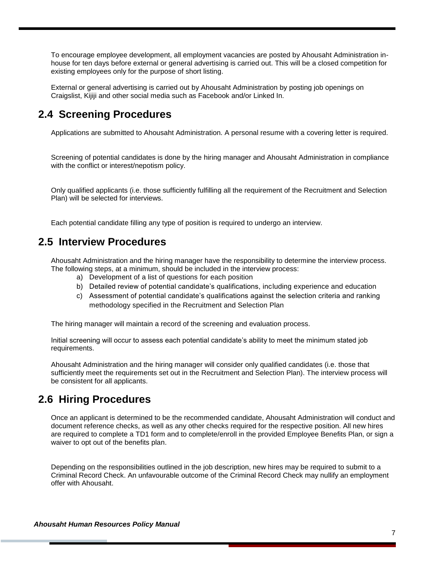To encourage employee development, all employment vacancies are posted by Ahousaht Administration inhouse for ten days before external or general advertising is carried out. This will be a closed competition for existing employees only for the purpose of short listing.

External or general advertising is carried out by Ahousaht Administration by posting job openings on Craigslist, Kijiji and other social media such as Facebook and/or Linked In.

### <span id="page-7-0"></span>**2.4 Screening Procedures**

Applications are submitted to Ahousaht Administration. A personal resume with a covering letter is required.

Screening of potential candidates is done by the hiring manager and Ahousaht Administration in compliance with the conflict or interest/nepotism policy.

Only qualified applicants (i.e. those sufficiently fulfilling all the requirement of the Recruitment and Selection Plan) will be selected for interviews.

Each potential candidate filling any type of position is required to undergo an interview.

### <span id="page-7-1"></span>**2.5 Interview Procedures**

Ahousaht Administration and the hiring manager have the responsibility to determine the interview process. The following steps, at a minimum, should be included in the interview process:

- a) Development of a list of questions for each position
- b) Detailed review of potential candidate's qualifications, including experience and education
- c) Assessment of potential candidate's qualifications against the selection criteria and ranking methodology specified in the Recruitment and Selection Plan

The hiring manager will maintain a record of the screening and evaluation process.

Initial screening will occur to assess each potential candidate's ability to meet the minimum stated job requirements.

Ahousaht Administration and the hiring manager will consider only qualified candidates (i.e. those that sufficiently meet the requirements set out in the Recruitment and Selection Plan). The interview process will be consistent for all applicants.

### <span id="page-7-2"></span>**2.6 Hiring Procedures**

Once an applicant is determined to be the recommended candidate, Ahousaht Administration will conduct and document reference checks, as well as any other checks required for the respective position. All new hires are required to complete a TD1 form and to complete/enroll in the provided Employee Benefits Plan, or sign a waiver to opt out of the benefits plan.

Depending on the responsibilities outlined in the job description, new hires may be required to submit to a Criminal Record Check. An unfavourable outcome of the Criminal Record Check may nullify an employment offer with Ahousaht.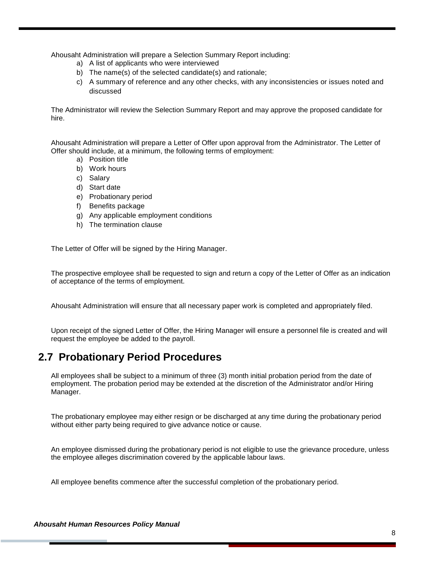Ahousaht Administration will prepare a Selection Summary Report including:

- a) A list of applicants who were interviewed
- b) The name(s) of the selected candidate(s) and rationale;
- c) A summary of reference and any other checks, with any inconsistencies or issues noted and discussed

The Administrator will review the Selection Summary Report and may approve the proposed candidate for hire.

Ahousaht Administration will prepare a Letter of Offer upon approval from the Administrator. The Letter of Offer should include, at a minimum, the following terms of employment:

- a) Position title
- b) Work hours
- c) Salary
- d) Start date
- e) Probationary period
- f) Benefits package
- g) Any applicable employment conditions
- h) The termination clause

The Letter of Offer will be signed by the Hiring Manager.

The prospective employee shall be requested to sign and return a copy of the Letter of Offer as an indication of acceptance of the terms of employment.

Ahousaht Administration will ensure that all necessary paper work is completed and appropriately filed.

Upon receipt of the signed Letter of Offer, the Hiring Manager will ensure a personnel file is created and will request the employee be added to the payroll.

### <span id="page-8-0"></span>**2.7 Probationary Period Procedures**

All employees shall be subject to a minimum of three (3) month initial probation period from the date of employment. The probation period may be extended at the discretion of the Administrator and/or Hiring Manager.

The probationary employee may either resign or be discharged at any time during the probationary period without either party being required to give advance notice or cause.

An employee dismissed during the probationary period is not eligible to use the grievance procedure, unless the employee alleges discrimination covered by the applicable labour laws.

All employee benefits commence after the successful completion of the probationary period.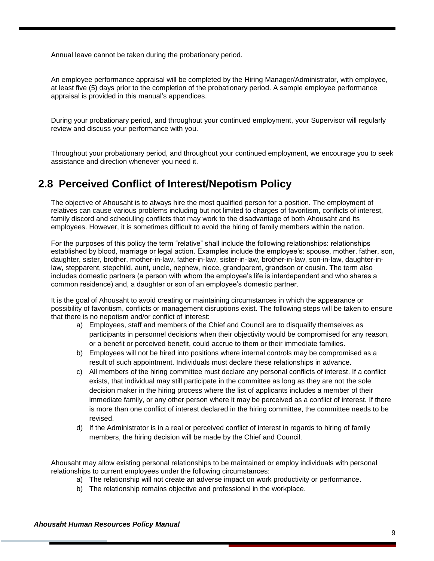Annual leave cannot be taken during the probationary period.

An employee performance appraisal will be completed by the Hiring Manager/Administrator, with employee, at least five (5) days prior to the completion of the probationary period. A sample employee performance appraisal is provided in this manual's appendices.

During your probationary period, and throughout your continued employment, your Supervisor will regularly review and discuss your performance with you.

Throughout your probationary period, and throughout your continued employment, we encourage you to seek assistance and direction whenever you need it.

### <span id="page-9-0"></span>**2.8 Perceived Conflict of Interest/Nepotism Policy**

The objective of Ahousaht is to always hire the most qualified person for a position. The employment of relatives can cause various problems including but not limited to charges of favoritism, conflicts of interest, family discord and scheduling conflicts that may work to the disadvantage of both Ahousaht and its employees. However, it is sometimes difficult to avoid the hiring of family members within the nation.

For the purposes of this policy the term "relative" shall include the following relationships: relationships established by blood, marriage or legal action. Examples include the employee's: spouse, mother, father, son, daughter, sister, brother, mother-in-law, father-in-law, sister-in-law, brother-in-law, son-in-law, daughter-inlaw, stepparent, stepchild, aunt, uncle, nephew, niece, grandparent, grandson or cousin. The term also includes domestic partners (a person with whom the employee's life is interdependent and who shares a common residence) and, a daughter or son of an employee's domestic partner.

It is the goal of Ahousaht to avoid creating or maintaining circumstances in which the appearance or possibility of favoritism, conflicts or management disruptions exist. The following steps will be taken to ensure that there is no nepotism and/or conflict of interest:

- a) Employees, staff and members of the Chief and Council are to disqualify themselves as participants in personnel decisions when their objectivity would be compromised for any reason, or a benefit or perceived benefit, could accrue to them or their immediate families.
- b) Employees will not be hired into positions where internal controls may be compromised as a result of such appointment. Individuals must declare these relationships in advance.
- c) All members of the hiring committee must declare any personal conflicts of interest. If a conflict exists, that individual may still participate in the committee as long as they are not the sole decision maker in the hiring process where the list of applicants includes a member of their immediate family, or any other person where it may be perceived as a conflict of interest. If there is more than one conflict of interest declared in the hiring committee, the committee needs to be revised.
- d) If the Administrator is in a real or perceived conflict of interest in regards to hiring of family members, the hiring decision will be made by the Chief and Council.

Ahousaht may allow existing personal relationships to be maintained or employ individuals with personal relationships to current employees under the following circumstances:

- a) The relationship will not create an adverse impact on work productivity or performance.
- b) The relationship remains objective and professional in the workplace.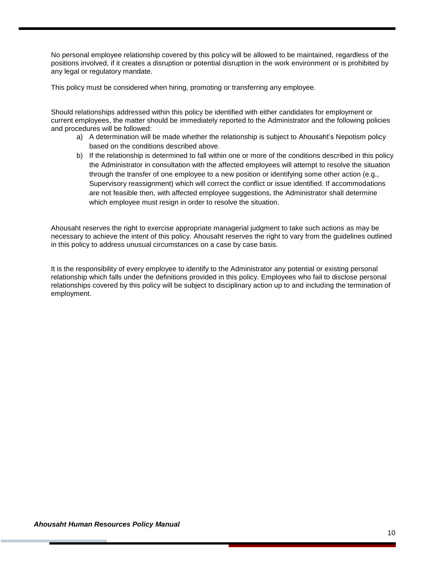No personal employee relationship covered by this policy will be allowed to be maintained, regardless of the positions involved, if it creates a disruption or potential disruption in the work environment or is prohibited by any legal or regulatory mandate.

This policy must be considered when hiring, promoting or transferring any employee.

Should relationships addressed within this policy be identified with either candidates for employment or current employees, the matter should be immediately reported to the Administrator and the following policies and procedures will be followed:

- a) A determination will be made whether the relationship is subject to Ahousaht's Nepotism policy based on the conditions described above.
- b) If the relationship is determined to fall within one or more of the conditions described in this policy the Administrator in consultation with the affected employees will attempt to resolve the situation through the transfer of one employee to a new position or identifying some other action (e.g., Supervisory reassignment) which will correct the conflict or issue identified. If accommodations are not feasible then, with affected employee suggestions, the Administrator shall determine which employee must resign in order to resolve the situation.

Ahousaht reserves the right to exercise appropriate managerial judgment to take such actions as may be necessary to achieve the intent of this policy. Ahousaht reserves the right to vary from the guidelines outlined in this policy to address unusual circumstances on a case by case basis.

It is the responsibility of every employee to identify to the Administrator any potential or existing personal relationship which falls under the definitions provided in this policy. Employees who fail to disclose personal relationships covered by this policy will be subject to disciplinary action up to and including the termination of employment.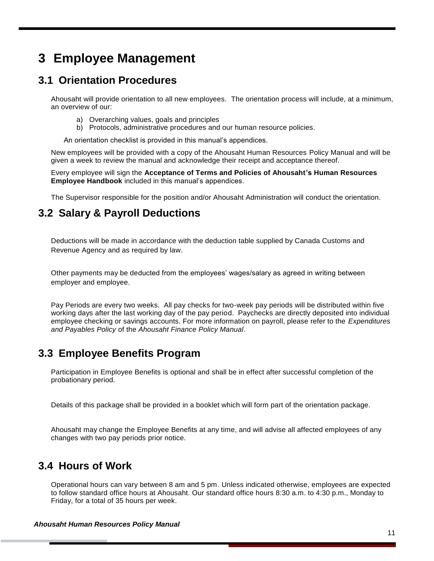## <span id="page-11-0"></span>**3 Employee Management**

### <span id="page-11-1"></span>**3.1 Orientation Procedures**

Ahousaht will provide orientation to all new employees. The orientation process will include, at a minimum, an overview of our:

- a) Overarching values, goals and principles
- b) Protocols, administrative procedures and our human resource policies.

An orientation checklist is provided in this manual's appendices.

New employees will be provided with a copy of the Ahousaht Human Resources Policy Manual and will be given a week to review the manual and acknowledge their receipt and acceptance thereof.

Every employee will sign the **Acceptance of Terms and Policies of Ahousaht's Human Resources Employee Handbook** included in this manual's appendices.

The Supervisor responsible for the position and/or Ahousaht Administration will conduct the orientation.

### <span id="page-11-2"></span>**3.2 Salary & Payroll Deductions**

Deductions will be made in accordance with the deduction table supplied by Canada Customs and Revenue Agency and as required by law.

Other payments may be deducted from the employees' wages/salary as agreed in writing between employer and employee.

Pay Periods are every two weeks. All pay checks for two-week pay periods will be distributed within five working days after the last working day of the pay period. Paychecks are directly deposited into individual employee checking or savings accounts. For more information on payroll, please refer to the *Expenditures and Payables Policy* of the *Ahousaht Finance Policy Manual*.

### <span id="page-11-3"></span>**3.3 Employee Benefits Program**

Participation in Employee Benefits is optional and shall be in effect after successful completion of the probationary period.

Details of this package shall be provided in a booklet which will form part of the orientation package.

Ahousaht may change the Employee Benefits at any time, and will advise all affected employees of any changes with two pay periods prior notice.

### <span id="page-11-4"></span>**3.4 Hours of Work**

Operational hours can vary between 8 am and 5 pm. Unless indicated otherwise, employees are expected to follow standard office hours at Ahousaht. Our standard office hours 8:30 a.m. to 4:30 p.m., Monday to Friday, for a total of 35 hours per week.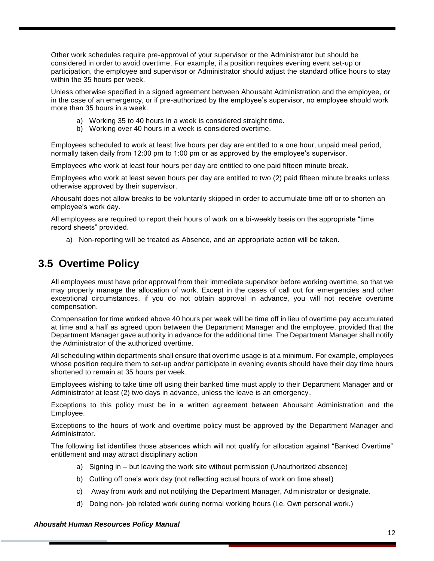Other work schedules require pre-approval of your supervisor or the Administrator but should be considered in order to avoid overtime. For example, if a position requires evening event set-up or participation, the employee and supervisor or Administrator should adjust the standard office hours to stay within the 35 hours per week.

Unless otherwise specified in a signed agreement between Ahousaht Administration and the employee, or in the case of an emergency, or if pre-authorized by the employee's supervisor, no employee should work more than 35 hours in a week.

- a) Working 35 to 40 hours in a week is considered straight time.
- b) Working over 40 hours in a week is considered overtime.

Employees scheduled to work at least five hours per day are entitled to a one hour, unpaid meal period, normally taken daily from 12:00 pm to 1:00 pm or as approved by the employee's supervisor.

Employees who work at least four hours per day are entitled to one paid fifteen minute break.

Employees who work at least seven hours per day are entitled to two (2) paid fifteen minute breaks unless otherwise approved by their supervisor.

Ahousaht does not allow breaks to be voluntarily skipped in order to accumulate time off or to shorten an employee's work day.

All employees are required to report their hours of work on a bi-weekly basis on the appropriate "time record sheets" provided.

a) Non-reporting will be treated as Absence, and an appropriate action will be taken.

### <span id="page-12-0"></span>**3.5 Overtime Policy**

All employees must have prior approval from their immediate supervisor before working overtime, so that we may properly manage the allocation of work. Except in the cases of call out for emergencies and other exceptional circumstances, if you do not obtain approval in advance, you will not receive overtime compensation.

Compensation for time worked above 40 hours per week will be time off in lieu of overtime pay accumulated at time and a half as agreed upon between the Department Manager and the employee, provided that the Department Manager gave authority in advance for the additional time. The Department Manager shall notify the Administrator of the authorized overtime.

All scheduling within departments shall ensure that overtime usage is at a minimum. For example, employees whose position require them to set-up and/or participate in evening events should have their day time hours shortened to remain at 35 hours per week.

Employees wishing to take time off using their banked time must apply to their Department Manager and or Administrator at least (2) two days in advance, unless the leave is an emergency.

Exceptions to this policy must be in a written agreement between Ahousaht Administration and the Employee.

Exceptions to the hours of work and overtime policy must be approved by the Department Manager and Administrator.

The following list identifies those absences which will not qualify for allocation against "Banked Overtime" entitlement and may attract disciplinary action

- a) Signing in but leaving the work site without permission (Unauthorized absence)
- b) Cutting off one's work day (not reflecting actual hours of work on time sheet)
- c) Away from work and not notifying the Department Manager, Administrator or designate.
- d) Doing non- job related work during normal working hours (i.e. Own personal work.)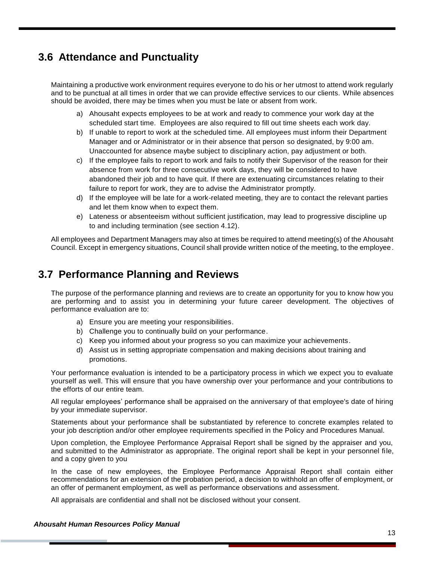### <span id="page-13-0"></span>**3.6 Attendance and Punctuality**

Maintaining a productive work environment requires everyone to do his or her utmost to attend work regularly and to be punctual at all times in order that we can provide effective services to our clients. While absences should be avoided, there may be times when you must be late or absent from work.

- a) Ahousaht expects employees to be at work and ready to commence your work day at the scheduled start time. Employees are also required to fill out time sheets each work day.
- b) If unable to report to work at the scheduled time. All employees must inform their Department Manager and or Administrator or in their absence that person so designated, by 9:00 am. Unaccounted for absence maybe subject to disciplinary action, pay adjustment or both.
- c) If the employee fails to report to work and fails to notify their Supervisor of the reason for their absence from work for three consecutive work days, they will be considered to have abandoned their job and to have quit. If there are extenuating circumstances relating to their failure to report for work, they are to advise the Administrator promptly.
- d) If the employee will be late for a work-related meeting, they are to contact the relevant parties and let them know when to expect them.
- e) Lateness or absenteeism without sufficient justification, may lead to progressive discipline up to and including termination (see section 4.12).

All employees and Department Managers may also at times be required to attend meeting(s) of the Ahousaht Council. Except in emergency situations, Council shall provide written notice of the meeting, to the employee.

### <span id="page-13-1"></span>**3.7 Performance Planning and Reviews**

The purpose of the performance planning and reviews are to create an opportunity for you to know how you are performing and to assist you in determining your future career development. The objectives of performance evaluation are to:

- a) Ensure you are meeting your responsibilities.
- b) Challenge you to continually build on your performance.
- c) Keep you informed about your progress so you can maximize your achievements.
- d) Assist us in setting appropriate compensation and making decisions about training and promotions.

Your performance evaluation is intended to be a participatory process in which we expect you to evaluate yourself as well. This will ensure that you have ownership over your performance and your contributions to the efforts of our entire team.

All regular employees' performance shall be appraised on the anniversary of that employee's date of hiring by your immediate supervisor.

Statements about your performance shall be substantiated by reference to concrete examples related to your job description and/or other employee requirements specified in the Policy and Procedures Manual.

Upon completion, the Employee Performance Appraisal Report shall be signed by the appraiser and you, and submitted to the Administrator as appropriate. The original report shall be kept in your personnel file, and a copy given to you

In the case of new employees, the Employee Performance Appraisal Report shall contain either recommendations for an extension of the probation period, a decision to withhold an offer of employment, or an offer of permanent employment, as well as performance observations and assessment.

All appraisals are confidential and shall not be disclosed without your consent.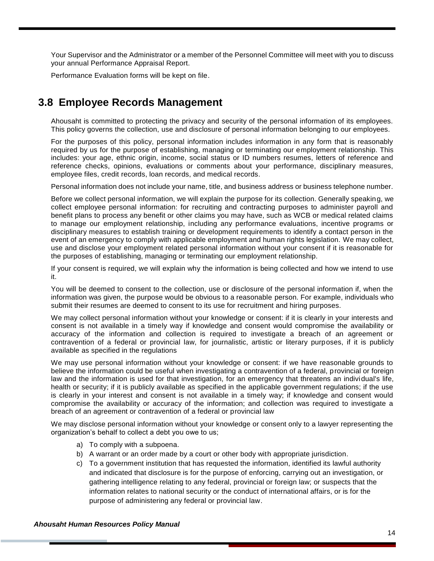Your Supervisor and the Administrator or a member of the Personnel Committee will meet with you to discuss your annual Performance Appraisal Report.

Performance Evaluation forms will be kept on file.

### <span id="page-14-0"></span>**3.8 Employee Records Management**

Ahousaht is committed to protecting the privacy and security of the personal information of its employees. This policy governs the collection, use and disclosure of personal information belonging to our employees.

For the purposes of this policy, personal information includes information in any form that is reasonably required by us for the purpose of establishing, managing or terminating our employment relationship. This includes: your age, ethnic origin, income, social status or ID numbers resumes, letters of reference and reference checks, opinions, evaluations or comments about your performance, disciplinary measures, employee files, credit records, loan records, and medical records.

Personal information does not include your name, title, and business address or business telephone number.

Before we collect personal information, we will explain the purpose for its collection. Generally speaking, we collect employee personal information: for recruiting and contracting purposes to administer payroll and benefit plans to process any benefit or other claims you may have, such as WCB or medical related claims to manage our employment relationship, including any performance evaluations, incentive programs or disciplinary measures to establish training or development requirements to identify a contact person in the event of an emergency to comply with applicable employment and human rights legislation. We may collect, use and disclose your employment related personal information without your consent if it is reasonable for the purposes of establishing, managing or terminating our employment relationship.

If your consent is required, we will explain why the information is being collected and how we intend to use it.

You will be deemed to consent to the collection, use or disclosure of the personal information if, when the information was given, the purpose would be obvious to a reasonable person. For example, individuals who submit their resumes are deemed to consent to its use for recruitment and hiring purposes.

We may collect personal information without your knowledge or consent: if it is clearly in your interests and consent is not available in a timely way if knowledge and consent would compromise the availability or accuracy of the information and collection is required to investigate a breach of an agreement or contravention of a federal or provincial law, for journalistic, artistic or literary purposes, if it is publicly available as specified in the regulations

We may use personal information without your knowledge or consent: if we have reasonable grounds to believe the information could be useful when investigating a contravention of a federal, provincial or foreign law and the information is used for that investigation, for an emergency that threatens an individual's life, health or security; if it is publicly available as specified in the applicable government regulations; if the use is clearly in your interest and consent is not available in a timely way; if knowledge and consent would compromise the availability or accuracy of the information; and collection was required to investigate a breach of an agreement or contravention of a federal or provincial law

We may disclose personal information without your knowledge or consent only to a lawyer representing the organization's behalf to collect a debt you owe to us;

- a) To comply with a subpoena.
- b) A warrant or an order made by a court or other body with appropriate jurisdiction.
- c) To a government institution that has requested the information, identified its lawful authority and indicated that disclosure is for the purpose of enforcing, carrying out an investigation, or gathering intelligence relating to any federal, provincial or foreign law; or suspects that the information relates to national security or the conduct of international affairs, or is for the purpose of administering any federal or provincial law.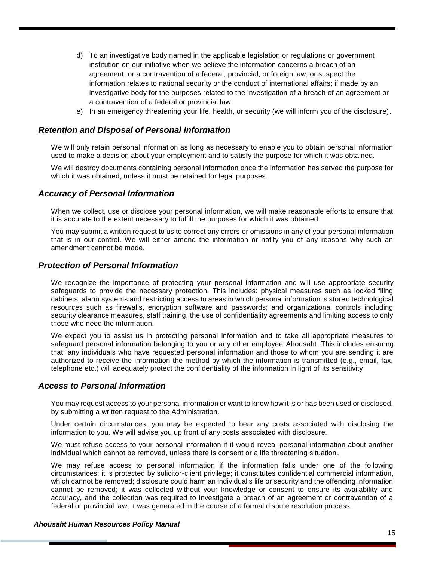- d) To an investigative body named in the applicable legislation or regulations or government institution on our initiative when we believe the information concerns a breach of an agreement, or a contravention of a federal, provincial, or foreign law, or suspect the information relates to national security or the conduct of international affairs; if made by an investigative body for the purposes related to the investigation of a breach of an agreement or a contravention of a federal or provincial law.
- e) In an emergency threatening your life, health, or security (we will inform you of the disclosure).

#### *Retention and Disposal of Personal Information*

We will only retain personal information as long as necessary to enable you to obtain personal information used to make a decision about your employment and to satisfy the purpose for which it was obtained.

We will destroy documents containing personal information once the information has served the purpose for which it was obtained, unless it must be retained for legal purposes.

#### *Accuracy of Personal Information*

When we collect, use or disclose your personal information, we will make reasonable efforts to ensure that it is accurate to the extent necessary to fulfill the purposes for which it was obtained.

You may submit a written request to us to correct any errors or omissions in any of your personal information that is in our control. We will either amend the information or notify you of any reasons why such an amendment cannot be made.

#### *Protection of Personal Information*

We recognize the importance of protecting your personal information and will use appropriate security safeguards to provide the necessary protection. This includes: physical measures such as locked filing cabinets, alarm systems and restricting access to areas in which personal information is stored technological resources such as firewalls, encryption software and passwords; and organizational controls including security clearance measures, staff training, the use of confidentiality agreements and limiting access to only those who need the information.

We expect you to assist us in protecting personal information and to take all appropriate measures to safeguard personal information belonging to you or any other employee Ahousaht. This includes ensuring that: any individuals who have requested personal information and those to whom you are sending it are authorized to receive the information the method by which the information is transmitted (e.g., email, fax, telephone etc.) will adequately protect the confidentiality of the information in light of its sensitivity

#### *Access to Personal Information*

You may request access to your personal information or want to know how it is or has been used or disclosed, by submitting a written request to the Administration.

Under certain circumstances, you may be expected to bear any costs associated with disclosing the information to you. We will advise you up front of any costs associated with disclosure.

We must refuse access to your personal information if it would reveal personal information about another individual which cannot be removed, unless there is consent or a life threatening situation.

We may refuse access to personal information if the information falls under one of the following circumstances: it is protected by solicitor-client privilege; it constitutes confidential commercial information, which cannot be removed; disclosure could harm an individual's life or security and the offending information cannot be removed; it was collected without your knowledge or consent to ensure its availability and accuracy, and the collection was required to investigate a breach of an agreement or contravention of a federal or provincial law; it was generated in the course of a formal dispute resolution process.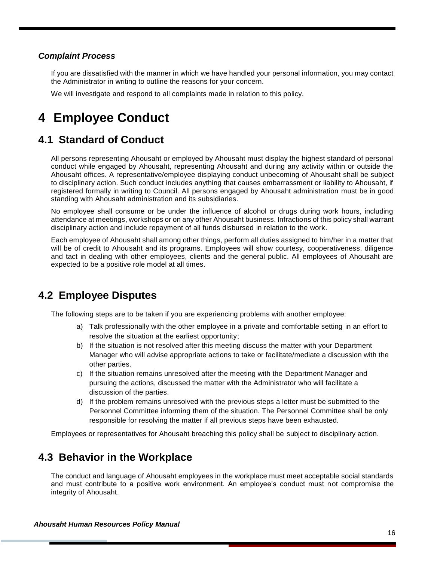#### *Complaint Process*

If you are dissatisfied with the manner in which we have handled your personal information, you may contact the Administrator in writing to outline the reasons for your concern.

We will investigate and respond to all complaints made in relation to this policy.

## <span id="page-16-0"></span>**4 Employee Conduct**

### <span id="page-16-1"></span>**4.1 Standard of Conduct**

All persons representing Ahousaht or employed by Ahousaht must display the highest standard of personal conduct while engaged by Ahousaht, representing Ahousaht and during any activity within or outside the Ahousaht offices. A representative/employee displaying conduct unbecoming of Ahousaht shall be subject to disciplinary action. Such conduct includes anything that causes embarrassment or liability to Ahousaht, if registered formally in writing to Council. All persons engaged by Ahousaht administration must be in good standing with Ahousaht administration and its subsidiaries.

No employee shall consume or be under the influence of alcohol or drugs during work hours, including attendance at meetings, workshops or on any other Ahousaht business. Infractions of this policy shall warrant disciplinary action and include repayment of all funds disbursed in relation to the work.

Each employee of Ahousaht shall among other things, perform all duties assigned to him/her in a matter that will be of credit to Ahousaht and its programs. Employees will show courtesy, cooperativeness, diligence and tact in dealing with other employees, clients and the general public. All employees of Ahousaht are expected to be a positive role model at all times.

### <span id="page-16-2"></span>**4.2 Employee Disputes**

The following steps are to be taken if you are experiencing problems with another employee:

- a) Talk professionally with the other employee in a private and comfortable setting in an effort to resolve the situation at the earliest opportunity;
- b) If the situation is not resolved after this meeting discuss the matter with your Department Manager who will advise appropriate actions to take or facilitate/mediate a discussion with the other parties.
- c) If the situation remains unresolved after the meeting with the Department Manager and pursuing the actions, discussed the matter with the Administrator who will facilitate a discussion of the parties.
- d) If the problem remains unresolved with the previous steps a letter must be submitted to the Personnel Committee informing them of the situation. The Personnel Committee shall be only responsible for resolving the matter if all previous steps have been exhausted.

Employees or representatives for Ahousaht breaching this policy shall be subject to disciplinary action.

### <span id="page-16-3"></span>**4.3 Behavior in the Workplace**

The conduct and language of Ahousaht employees in the workplace must meet acceptable social standards and must contribute to a positive work environment. An employee's conduct must not compromise the integrity of Ahousaht.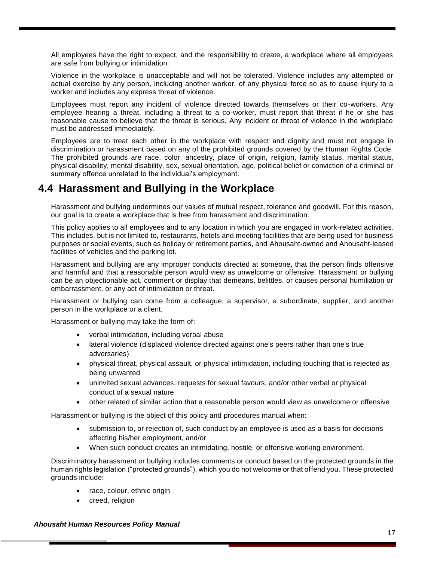All employees have the right to expect, and the responsibility to create, a workplace where all employees are safe from bullying or intimidation.

Violence in the workplace is unacceptable and will not be tolerated. Violence includes any attempted or actual exercise by any person, including another worker, of any physical force so as to cause injury to a worker and includes any express threat of violence.

Employees must report any incident of violence directed towards themselves or their co-workers. Any employee hearing a threat, including a threat to a co-worker, must report that threat if he or she has reasonable cause to believe that the threat is serious. Any incident or threat of violence in the workplace must be addressed immediately.

Employees are to treat each other in the workplace with respect and dignity and must not engage in discrimination or harassment based on any of the prohibited grounds covered by the Human Rights Code. The prohibited grounds are race, color, ancestry, place of origin, religion, family status, marital status, physical disability, mental disability, sex, sexual orientation, age, political belief or conviction of a criminal or summary offence unrelated to the individual's employment.

### <span id="page-17-0"></span>**4.4 Harassment and Bullying in the Workplace**

Harassment and bullying undermines our values of mutual respect, tolerance and goodwill. For this reason, our goal is to create a workplace that is free from harassment and discrimination.

This policy applies to all employees and to any location in which you are engaged in work-related activities. This includes, but is not limited to, restaurants, hotels and meeting facilities that are being used for business purposes or social events, such as holiday or retirement parties, and Ahousaht-owned and Ahousaht-leased facilities of vehicles and the parking lot.

Harassment and bullying are any improper conducts directed at someone, that the person finds offensive and harmful and that a reasonable person would view as unwelcome or offensive. Harassment or bullying can be an objectionable act, comment or display that demeans, belittles, or causes personal humiliation or embarrassment, or any act of intimidation or threat.

Harassment or bullying can come from a colleague, a supervisor, a subordinate, supplier, and another person in the workplace or a client.

Harassment or bullying may take the form of:

- verbal intimidation, including verbal abuse
- lateral violence (displaced violence directed against one's peers rather than one's true adversaries)
- physical threat, physical assault, or physical intimidation, including touching that is rejected as being unwanted
- uninvited sexual advances, requests for sexual favours, and/or other verbal or physical conduct of a sexual nature
- other related of similar action that a reasonable person would view as unwelcome or offensive

Harassment or bullying is the object of this policy and procedures manual when:

- submission to, or rejection of, such conduct by an employee is used as a basis for decisions affecting his/her employment, and/or
- When such conduct creates an intimidating, hostile, or offensive working environment.

Discriminatory harassment or bullying includes comments or conduct based on the protected grounds in the human rights legislation ("protected grounds"), which you do not welcome or that offend you. These protected grounds include:

- race, colour, ethnic origin
- creed, religion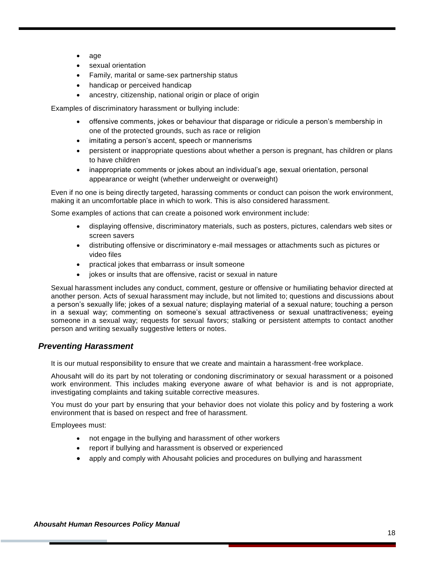- age
- sexual orientation
- Family, marital or same-sex partnership status
- handicap or perceived handicap
- ancestry, citizenship, national origin or place of origin

Examples of discriminatory harassment or bullying include:

- offensive comments, jokes or behaviour that disparage or ridicule a person's membership in one of the protected grounds, such as race or religion
- imitating a person's accent, speech or mannerisms
- persistent or inappropriate questions about whether a person is pregnant, has children or plans to have children
- inappropriate comments or jokes about an individual's age, sexual orientation, personal appearance or weight (whether underweight or overweight)

Even if no one is being directly targeted, harassing comments or conduct can poison the work environment, making it an uncomfortable place in which to work. This is also considered harassment.

Some examples of actions that can create a poisoned work environment include:

- displaying offensive, discriminatory materials, such as posters, pictures, calendars web sites or screen savers
- distributing offensive or discriminatory e-mail messages or attachments such as pictures or video files
- practical jokes that embarrass or insult someone
- jokes or insults that are offensive, racist or sexual in nature

Sexual harassment includes any conduct, comment, gesture or offensive or humiliating behavior directed at another person. Acts of sexual harassment may include, but not limited to; questions and discussions about a person's sexually life; jokes of a sexual nature; displaying material of a sexual nature; touching a person in a sexual way; commenting on someone's sexual attractiveness or sexual unattractiveness; eyeing someone in a sexual way; requests for sexual favors; stalking or persistent attempts to contact another person and writing sexually suggestive letters or notes.

#### *Preventing Harassment*

It is our mutual responsibility to ensure that we create and maintain a harassment-free workplace.

Ahousaht will do its part by not tolerating or condoning discriminatory or sexual harassment or a poisoned work environment. This includes making everyone aware of what behavior is and is not appropriate, investigating complaints and taking suitable corrective measures.

You must do your part by ensuring that your behavior does not violate this policy and by fostering a work environment that is based on respect and free of harassment.

Employees must:

- not engage in the bullying and harassment of other workers
- report if bullying and harassment is observed or experienced
- apply and comply with Ahousaht policies and procedures on bullying and harassment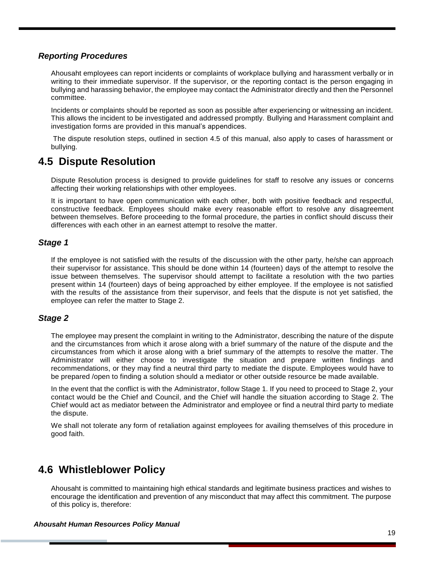#### *Reporting Procedures*

Ahousaht employees can report incidents or complaints of workplace bullying and harassment verbally or in writing to their immediate supervisor. If the supervisor, or the reporting contact is the person engaging in bullying and harassing behavior, the employee may contact the Administrator directly and then the Personnel committee.

Incidents or complaints should be reported as soon as possible after experiencing or witnessing an incident. This allows the incident to be investigated and addressed promptly. Bullying and Harassment complaint and investigation forms are provided in this manual's appendices.

The dispute resolution steps, outlined in section 4.5 of this manual, also apply to cases of harassment or bullying.

### <span id="page-19-0"></span>**4.5 Dispute Resolution**

Dispute Resolution process is designed to provide guidelines for staff to resolve any issues or concerns affecting their working relationships with other employees.

It is important to have open communication with each other, both with positive feedback and respectful, constructive feedback. Employees should make every reasonable effort to resolve any disagreement between themselves. Before proceeding to the formal procedure, the parties in conflict should discuss their differences with each other in an earnest attempt to resolve the matter.

#### *Stage 1*

If the employee is not satisfied with the results of the discussion with the other party, he/she can approach their supervisor for assistance. This should be done within 14 (fourteen) days of the attempt to resolve the issue between themselves. The supervisor should attempt to facilitate a resolution with the two parties present within 14 (fourteen) days of being approached by either employee. If the employee is not satisfied with the results of the assistance from their supervisor, and feels that the dispute is not yet satisfied, the employee can refer the matter to Stage 2.

#### *Stage 2*

The employee may present the complaint in writing to the Administrator, describing the nature of the dispute and the circumstances from which it arose along with a brief summary of the nature of the dispute and the circumstances from which it arose along with a brief summary of the attempts to resolve the matter. The Administrator will either choose to investigate the situation and prepare written findings and recommendations, or they may find a neutral third party to mediate the dispute. Employees would have to be prepared /open to finding a solution should a mediator or other outside resource be made available.

In the event that the conflict is with the Administrator, follow Stage 1. If you need to proceed to Stage 2, your contact would be the Chief and Council, and the Chief will handle the situation according to Stage 2. The Chief would act as mediator between the Administrator and employee or find a neutral third party to mediate the dispute.

We shall not tolerate any form of retaliation against employees for availing themselves of this procedure in good faith.

### <span id="page-19-1"></span>**4.6 Whistleblower Policy**

Ahousaht is committed to maintaining high ethical standards and legitimate business practices and wishes to encourage the identification and prevention of any misconduct that may affect this commitment. The purpose of this policy is, therefore: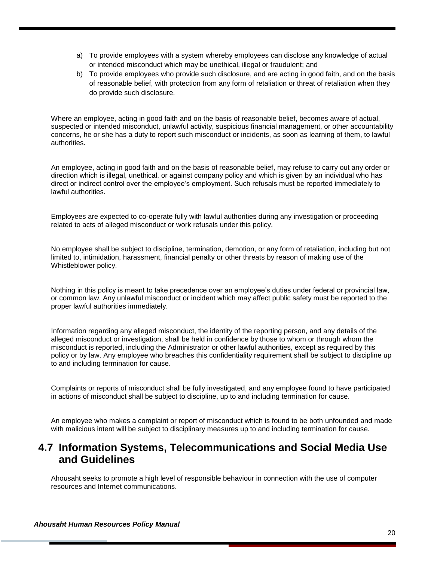- a) To provide employees with a system whereby employees can disclose any knowledge of actual or intended misconduct which may be unethical, illegal or fraudulent; and
- b) To provide employees who provide such disclosure, and are acting in good faith, and on the basis of reasonable belief, with protection from any form of retaliation or threat of retaliation when they do provide such disclosure.

Where an employee, acting in good faith and on the basis of reasonable belief, becomes aware of actual, suspected or intended misconduct, unlawful activity, suspicious financial management, or other accountability concerns, he or she has a duty to report such misconduct or incidents, as soon as learning of them, to lawful authorities.

An employee, acting in good faith and on the basis of reasonable belief, may refuse to carry out any order or direction which is illegal, unethical, or against company policy and which is given by an individual who has direct or indirect control over the employee's employment. Such refusals must be reported immediately to lawful authorities.

Employees are expected to co-operate fully with lawful authorities during any investigation or proceeding related to acts of alleged misconduct or work refusals under this policy.

No employee shall be subject to discipline, termination, demotion, or any form of retaliation, including but not limited to, intimidation, harassment, financial penalty or other threats by reason of making use of the Whistleblower policy.

Nothing in this policy is meant to take precedence over an employee's duties under federal or provincial law, or common law. Any unlawful misconduct or incident which may affect public safety must be reported to the proper lawful authorities immediately.

Information regarding any alleged misconduct, the identity of the reporting person, and any details of the alleged misconduct or investigation, shall be held in confidence by those to whom or through whom the misconduct is reported, including the Administrator or other lawful authorities, except as required by this policy or by law. Any employee who breaches this confidentiality requirement shall be subject to discipline up to and including termination for cause.

Complaints or reports of misconduct shall be fully investigated, and any employee found to have participated in actions of misconduct shall be subject to discipline, up to and including termination for cause.

An employee who makes a complaint or report of misconduct which is found to be both unfounded and made with malicious intent will be subject to disciplinary measures up to and including termination for cause.

### <span id="page-20-0"></span>**4.7 Information Systems, Telecommunications and Social Media Use and Guidelines**

Ahousaht seeks to promote a high level of responsible behaviour in connection with the use of computer resources and Internet communications.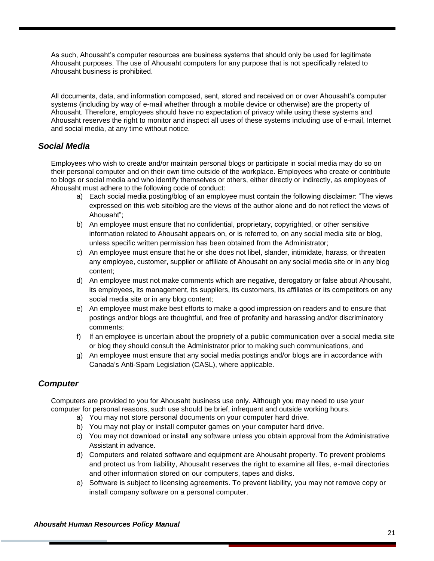As such, Ahousaht's computer resources are business systems that should only be used for legitimate Ahousaht purposes. The use of Ahousaht computers for any purpose that is not specifically related to Ahousaht business is prohibited.

All documents, data, and information composed, sent, stored and received on or over Ahousaht's computer systems (including by way of e-mail whether through a mobile device or otherwise) are the property of Ahousaht. Therefore, employees should have no expectation of privacy while using these systems and Ahousaht reserves the right to monitor and inspect all uses of these systems including use of e-mail, Internet and social media, at any time without notice.

#### *Social Media*

Employees who wish to create and/or maintain personal blogs or participate in social media may do so on their personal computer and on their own time outside of the workplace. Employees who create or contribute to blogs or social media and who identify themselves or others, either directly or indirectly, as employees of Ahousaht must adhere to the following code of conduct:

- a) Each social media posting/blog of an employee must contain the following disclaimer: "The views expressed on this web site/blog are the views of the author alone and do not reflect the views of Ahousaht";
- b) An employee must ensure that no confidential, proprietary, copyrighted, or other sensitive information related to Ahousaht appears on, or is referred to, on any social media site or blog, unless specific written permission has been obtained from the Administrator;
- c) An employee must ensure that he or she does not libel, slander, intimidate, harass, or threaten any employee, customer, supplier or affiliate of Ahousaht on any social media site or in any blog content;
- d) An employee must not make comments which are negative, derogatory or false about Ahousaht, its employees, its management, its suppliers, its customers, its affiliates or its competitors on any social media site or in any blog content;
- e) An employee must make best efforts to make a good impression on readers and to ensure that postings and/or blogs are thoughtful, and free of profanity and harassing and/or discriminatory comments;
- f) If an employee is uncertain about the propriety of a public communication over a social media site or blog they should consult the Administrator prior to making such communications, and
- g) An employee must ensure that any social media postings and/or blogs are in accordance with Canada's Anti-Spam Legislation (CASL), where applicable.

#### *Computer*

Computers are provided to you for Ahousaht business use only. Although you may need to use your computer for personal reasons, such use should be brief, infrequent and outside working hours.

- a) You may not store personal documents on your computer hard drive.
- b) You may not play or install computer games on your computer hard drive.
- c) You may not download or install any software unless you obtain approval from the Administrative Assistant in advance.
- d) Computers and related software and equipment are Ahousaht property. To prevent problems and protect us from liability, Ahousaht reserves the right to examine all files, e-mail directories and other information stored on our computers, tapes and disks.
- e) Software is subject to licensing agreements. To prevent liability, you may not remove copy or install company software on a personal computer.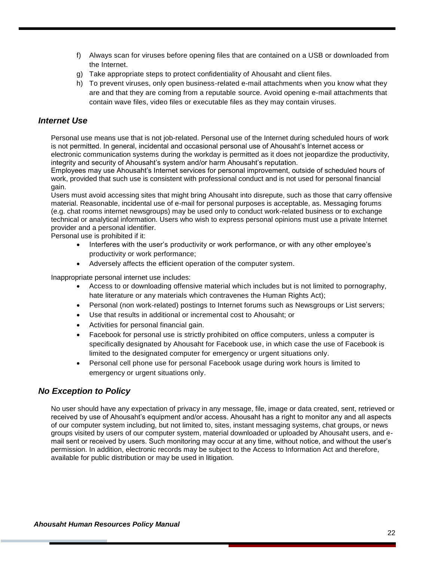- f) Always scan for viruses before opening files that are contained on a USB or downloaded from the Internet.
- g) Take appropriate steps to protect confidentiality of Ahousaht and client files.
- h) To prevent viruses, only open business-related e-mail attachments when you know what they are and that they are coming from a reputable source. Avoid opening e-mail attachments that contain wave files, video files or executable files as they may contain viruses.

#### *Internet Use*

Personal use means use that is not job-related. Personal use of the Internet during scheduled hours of work is not permitted. In general, incidental and occasional personal use of Ahousaht's Internet access or electronic communication systems during the workday is permitted as it does not jeopardize the productivity, integrity and security of Ahousaht's system and/or harm Ahousaht's reputation.

Employees may use Ahousaht's Internet services for personal improvement, outside of scheduled hours of work, provided that such use is consistent with professional conduct and is not used for personal financial gain.

Users must avoid accessing sites that might bring Ahousaht into disrepute, such as those that carry offensive material. Reasonable, incidental use of e-mail for personal purposes is acceptable, as. Messaging forums (e.g. chat rooms internet newsgroups) may be used only to conduct work-related business or to exchange technical or analytical information. Users who wish to express personal opinions must use a private Internet provider and a personal identifier.

Personal use is prohibited if it:

- Interferes with the user's productivity or work performance, or with any other employee's productivity or work performance;
- Adversely affects the efficient operation of the computer system.

Inappropriate personal internet use includes:

- Access to or downloading offensive material which includes but is not limited to pornography, hate literature or any materials which contravenes the Human Rights Act);
- Personal (non work-related) postings to Internet forums such as Newsgroups or List servers;
- Use that results in additional or incremental cost to Ahousaht; or
- Activities for personal financial gain.
- Facebook for personal use is strictly prohibited on office computers, unless a computer is specifically designated by Ahousaht for Facebook use, in which case the use of Facebook is limited to the designated computer for emergency or urgent situations only.
- Personal cell phone use for personal Facebook usage during work hours is limited to emergency or urgent situations only.

#### *No Exception to Policy*

No user should have any expectation of privacy in any message, file, image or data created, sent, retrieved or received by use of Ahousaht's equipment and/or access. Ahousaht has a right to monitor any and all aspects of our computer system including, but not limited to, sites, instant messaging systems, chat groups, or news groups visited by users of our computer system, material downloaded or uploaded by Ahousaht users, and email sent or received by users. Such monitoring may occur at any time, without notice, and without the user's permission. In addition, electronic records may be subject to the Access to Information Act and therefore, available for public distribution or may be used in litigation.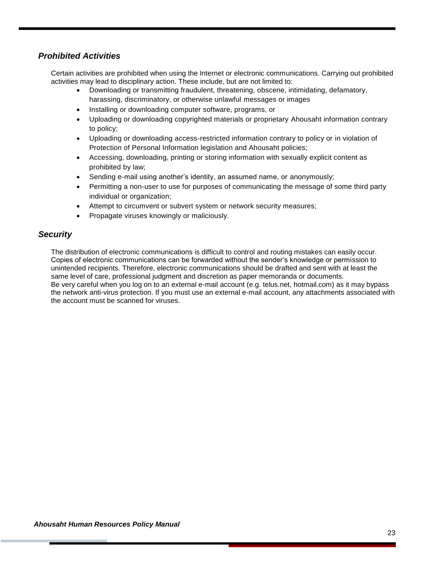#### *Prohibited Activities*

Certain activities are prohibited when using the Internet or electronic communications. Carrying out prohibited activities may lead to disciplinary action. These include, but are not limited to:

- Downloading or transmitting fraudulent, threatening, obscene, intimidating, defamatory, harassing, discriminatory, or otherwise unlawful messages or images
- Installing or downloading computer software, programs, or
- Uploading or downloading copyrighted materials or proprietary Ahousaht information contrary to policy;
- Uploading or downloading access-restricted information contrary to policy or in violation of Protection of Personal Information legislation and Ahousaht policies;
- Accessing, downloading, printing or storing information with sexually explicit content as prohibited by law;
- Sending e-mail using another's identity, an assumed name, or anonymously;
- Permitting a non-user to use for purposes of communicating the message of some third party individual or organization;
- Attempt to circumvent or subvert system or network security measures;
- Propagate viruses knowingly or maliciously.

#### *Security*

The distribution of electronic communications is difficult to control and routing mistakes can easily occur. Copies of electronic communications can be forwarded without the sender's knowledge or permission to unintended recipients. Therefore, electronic communications should be drafted and sent with at least the same level of care, professional judgment and discretion as paper memoranda or documents. Be very careful when you log on to an external e-mail account [\(e.g. telus.net,](http://e.g.telus.net/) [hotmail.com\)](http://hotmail.com/) as it may bypass the network anti-virus protection. If you must use an external e-mail account, any attachments associated with the account must be scanned for viruses.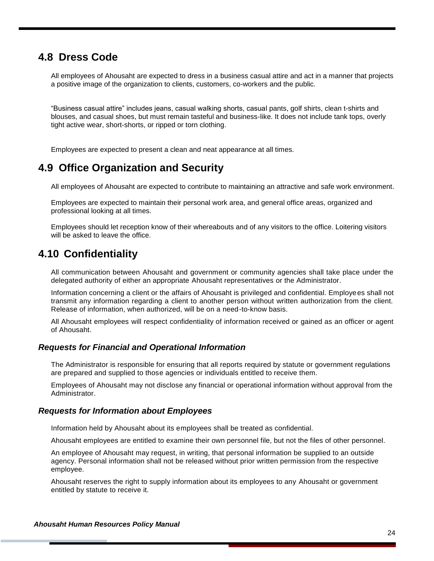### <span id="page-24-0"></span>**4.8 Dress Code**

All employees of Ahousaht are expected to dress in a business casual attire and act in a manner that projects a positive image of the organization to clients, customers, co-workers and the public.

"Business casual attire" includes jeans, casual walking shorts, casual pants, golf shirts, clean t-shirts and blouses, and casual shoes, but must remain tasteful and business-like. It does not include tank tops, overly tight active wear, short-shorts, or ripped or torn clothing.

Employees are expected to present a clean and neat appearance at all times.

### <span id="page-24-1"></span>**4.9 Office Organization and Security**

All employees of Ahousaht are expected to contribute to maintaining an attractive and safe work environment.

Employees are expected to maintain their personal work area, and general office areas, organized and professional looking at all times.

Employees should let reception know of their whereabouts and of any visitors to the office. Loitering visitors will be asked to leave the office.

### <span id="page-24-2"></span>**4.10 Confidentiality**

All communication between Ahousaht and government or community agencies shall take place under the delegated authority of either an appropriate Ahousaht representatives or the Administrator.

Information concerning a client or the affairs of Ahousaht is privileged and confidential. Employees shall not transmit any information regarding a client to another person without written authorization from the client. Release of information, when authorized, will be on a need-to-know basis.

All Ahousaht employees will respect confidentiality of information received or gained as an officer or agent of Ahousaht.

#### *Requests for Financial and Operational Information*

The Administrator is responsible for ensuring that all reports required by statute or government regulations are prepared and supplied to those agencies or individuals entitled to receive them.

Employees of Ahousaht may not disclose any financial or operational information without approval from the Administrator.

#### *Requests for Information about Employees*

Information held by Ahousaht about its employees shall be treated as confidential.

Ahousaht employees are entitled to examine their own personnel file, but not the files of other personnel.

An employee of Ahousaht may request, in writing, that personal information be supplied to an outside agency. Personal information shall not be released without prior written permission from the respective employee.

Ahousaht reserves the right to supply information about its employees to any Ahousaht or government entitled by statute to receive it.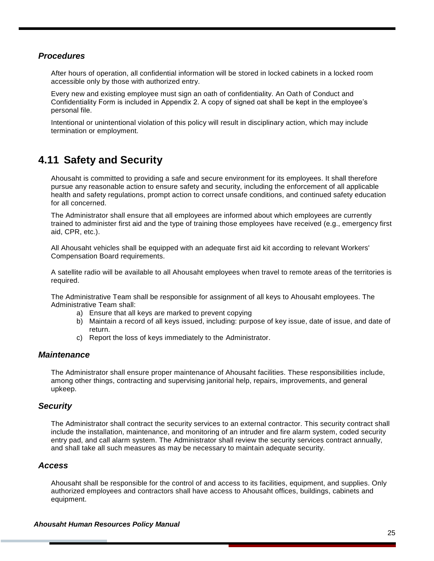#### *Procedures*

After hours of operation, all confidential information will be stored in locked cabinets in a locked room accessible only by those with authorized entry.

Every new and existing employee must sign an oath of confidentiality. An Oath of Conduct and Confidentiality Form is included in Appendix 2. A copy of signed oat shall be kept in the employee's personal file.

Intentional or unintentional violation of this policy will result in disciplinary action, which may include termination or employment.

### <span id="page-25-0"></span>**4.11 Safety and Security**

Ahousaht is committed to providing a safe and secure environment for its employees. It shall therefore pursue any reasonable action to ensure safety and security, including the enforcement of all applicable health and safety regulations, prompt action to correct unsafe conditions, and continued safety education for all concerned.

The Administrator shall ensure that all employees are informed about which employees are currently trained to administer first aid and the type of training those employees have received (e.g., emergency first aid, CPR, etc.).

All Ahousaht vehicles shall be equipped with an adequate first aid kit according to relevant Workers' Compensation Board requirements.

A satellite radio will be available to all Ahousaht employees when travel to remote areas of the territories is required.

The Administrative Team shall be responsible for assignment of all keys to Ahousaht employees. The Administrative Team shall:

- a) Ensure that all keys are marked to prevent copying
- b) Maintain a record of all keys issued, including: purpose of key issue, date of issue, and date of return.
- c) Report the loss of keys immediately to the Administrator.

#### *Maintenance*

The Administrator shall ensure proper maintenance of Ahousaht facilities. These responsibilities include, among other things, contracting and supervising janitorial help, repairs, improvements, and general upkeep.

#### *Security*

The Administrator shall contract the security services to an external contractor. This security contract shall include the installation, maintenance, and monitoring of an intruder and fire alarm system, coded security entry pad, and call alarm system. The Administrator shall review the security services contract annually, and shall take all such measures as may be necessary to maintain adequate security.

#### *Access*

Ahousaht shall be responsible for the control of and access to its facilities, equipment, and supplies. Only authorized employees and contractors shall have access to Ahousaht offices, buildings, cabinets and equipment.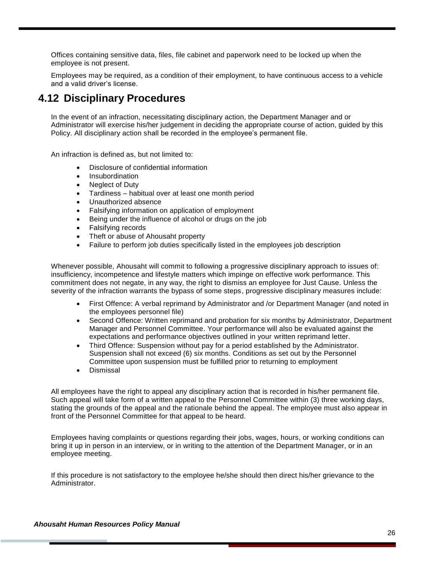Offices containing sensitive data, files, file cabinet and paperwork need to be locked up when the employee is not present.

Employees may be required, as a condition of their employment, to have continuous access to a vehicle and a valid driver's license.

### <span id="page-26-0"></span>**4.12 Disciplinary Procedures**

In the event of an infraction, necessitating disciplinary action, the Department Manager and or Administrator will exercise his/her judgement in deciding the appropriate course of action, guided by this Policy. All disciplinary action shall be recorded in the employee's permanent file.

An infraction is defined as, but not limited to:

- Disclosure of confidential information
- Insubordination
- Neglect of Duty
- Tardiness habitual over at least one month period
- Unauthorized absence
- Falsifying information on application of employment
- Being under the influence of alcohol or drugs on the job
- Falsifying records
- Theft or abuse of Ahousaht property
- Failure to perform job duties specifically listed in the employees job description

Whenever possible, Ahousaht will commit to following a progressive disciplinary approach to issues of: insufficiency, incompetence and lifestyle matters which impinge on effective work performance. This commitment does not negate, in any way, the right to dismiss an employee for Just Cause. Unless the severity of the infraction warrants the bypass of some steps, progressive disciplinary measures include:

- First Offence: A verbal reprimand by Administrator and /or Department Manager (and noted in the employees personnel file)
- Second Offence: Written reprimand and probation for six months by Administrator, Department Manager and Personnel Committee. Your performance will also be evaluated against the expectations and performance objectives outlined in your written reprimand letter.
- Third Offence: Suspension without pay for a period established by the Administrator. Suspension shall not exceed (6) six months. Conditions as set out by the Personnel Committee upon suspension must be fulfilled prior to returning to employment
- Dismissal

All employees have the right to appeal any disciplinary action that is recorded in his/her permanent file. Such appeal will take form of a written appeal to the Personnel Committee within (3) three working days, stating the grounds of the appeal and the rationale behind the appeal. The employee must also appear in front of the Personnel Committee for that appeal to be heard.

Employees having complaints or questions regarding their jobs, wages, hours, or working conditions can bring it up in person in an interview, or in writing to the attention of the Department Manager, or in an employee meeting.

If this procedure is not satisfactory to the employee he/she should then direct his/her grievance to the Administrator.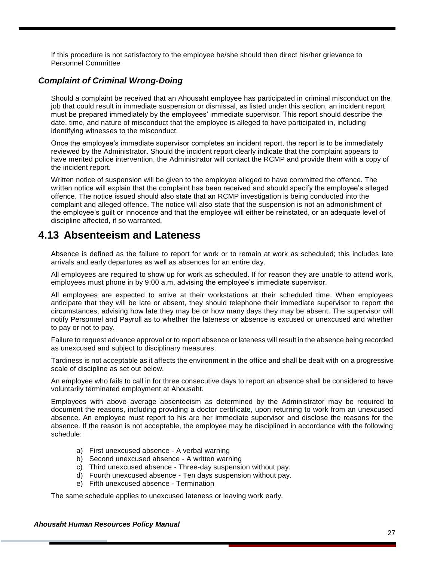If this procedure is not satisfactory to the employee he/she should then direct his/her grievance to Personnel Committee

#### *Complaint of Criminal Wrong-Doing*

Should a complaint be received that an Ahousaht employee has participated in criminal misconduct on the job that could result in immediate suspension or dismissal, as listed under this section, an incident report must be prepared immediately by the employees' immediate supervisor. This report should describe the date, time, and nature of misconduct that the employee is alleged to have participated in, including identifying witnesses to the misconduct.

Once the employee's immediate supervisor completes an incident report, the report is to be immediately reviewed by the Administrator. Should the incident report clearly indicate that the complaint appears to have merited police intervention, the Administrator will contact the RCMP and provide them with a copy of the incident report.

Written notice of suspension will be given to the employee alleged to have committed the offence. The written notice will explain that the complaint has been received and should specify the employee's alleged offence. The notice issued should also state that an RCMP investigation is being conducted into the complaint and alleged offence. The notice will also state that the suspension is not an admonishment of the employee's guilt or innocence and that the employee will either be reinstated, or an adequate level of discipline affected, if so warranted.

### <span id="page-27-0"></span>**4.13 Absenteeism and Lateness**

Absence is defined as the failure to report for work or to remain at work as scheduled; this includes late arrivals and early departures as well as absences for an entire day.

All employees are required to show up for work as scheduled. If for reason they are unable to attend wor k, employees must phone in by 9:00 a.m. advising the employee's immediate supervisor.

All employees are expected to arrive at their workstations at their scheduled time. When employees anticipate that they will be late or absent, they should telephone their immediate supervisor to report the circumstances, advising how late they may be or how many days they may be absent. The supervisor will notify Personnel and Payroll as to whether the lateness or absence is excused or unexcused and whether to pay or not to pay.

Failure to request advance approval or to report absence or lateness will result in the absence being recorded as unexcused and subject to disciplinary measures.

Tardiness is not acceptable as it affects the environment in the office and shall be dealt with on a progressive scale of discipline as set out below.

An employee who fails to call in for three consecutive days to report an absence shall be considered to have voluntarily terminated employment at Ahousaht.

Employees with above average absenteeism as determined by the Administrator may be required to document the reasons, including providing a doctor certificate, upon returning to work from an unexcused absence. An employee must report to his are her immediate supervisor and disclose the reasons for the absence. If the reason is not acceptable, the employee may be disciplined in accordance with the following schedule:

- a) First unexcused absence A verbal warning
- b) Second unexcused absence A written warning
- c) Third unexcused absence Three-day suspension without pay.
- d) Fourth unexcused absence Ten days suspension without pay.
- e) Fifth unexcused absence Termination

The same schedule applies to unexcused lateness or leaving work early.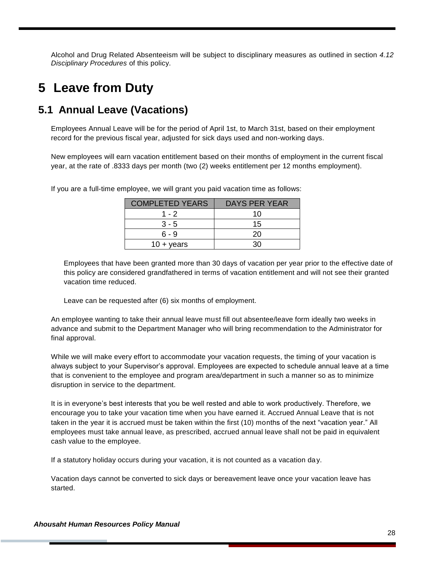Alcohol and Drug Related Absenteeism will be subject to disciplinary measures as outlined in section *4.12 Disciplinary Procedures* of this policy.

## <span id="page-28-0"></span>**5 Leave from Duty**

### <span id="page-28-1"></span>**5.1 Annual Leave (Vacations)**

Employees Annual Leave will be for the period of April 1st, to March 31st, based on their employment record for the previous fiscal year, adjusted for sick days used and non-working days.

New employees will earn vacation entitlement based on their months of employment in the current fiscal year, at the rate of .8333 days per month (two (2) weeks entitlement per 12 months employment).

| <b>COMPLETED YEARS</b> | DAYS PER YEAR |
|------------------------|---------------|
| 1 - 2                  | 10            |
| $3 - 5$                | 15            |
| ճ - 9                  | 20            |
| $10 + \text{years}$    | חר            |

If you are a full-time employee, we will grant you paid vacation time as follows:

Employees that have been granted more than 30 days of vacation per year prior to the effective date of this policy are considered grandfathered in terms of vacation entitlement and will not see their granted vacation time reduced.

Leave can be requested after (6) six months of employment.

An employee wanting to take their annual leave must fill out absentee/leave form ideally two weeks in advance and submit to the Department Manager who will bring recommendation to the Administrator for final approval.

While we will make every effort to accommodate your vacation requests, the timing of your vacation is always subject to your Supervisor's approval. Employees are expected to schedule annual leave at a time that is convenient to the employee and program area/department in such a manner so as to minimize disruption in service to the department.

It is in everyone's best interests that you be well rested and able to work productively. Therefore, we encourage you to take your vacation time when you have earned it. Accrued Annual Leave that is not taken in the year it is accrued must be taken within the first (10) months of the next "vacation year." All employees must take annual leave, as prescribed, accrued annual leave shall not be paid in equivalent cash value to the employee.

If a statutory holiday occurs during your vacation, it is not counted as a vacation day.

Vacation days cannot be converted to sick days or bereavement leave once your vacation leave has started.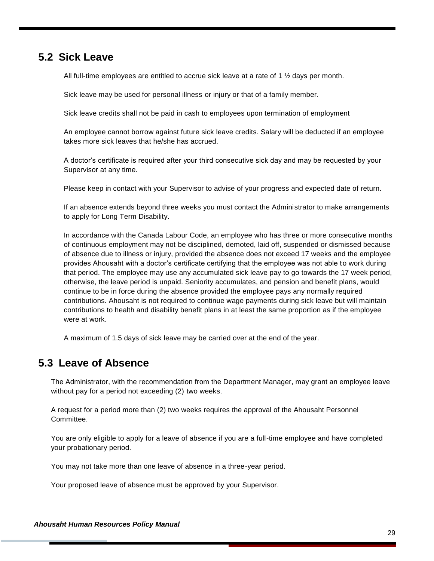### <span id="page-29-0"></span>**5.2 Sick Leave**

All full-time employees are entitled to accrue sick leave at a rate of 1  $\frac{1}{2}$  days per month.

Sick leave may be used for personal illness or injury or that of a family member.

Sick leave credits shall not be paid in cash to employees upon termination of employment

An employee cannot borrow against future sick leave credits. Salary will be deducted if an employee takes more sick leaves that he/she has accrued.

A doctor's certificate is required after your third consecutive sick day and may be requested by your Supervisor at any time.

Please keep in contact with your Supervisor to advise of your progress and expected date of return.

If an absence extends beyond three weeks you must contact the Administrator to make arrangements to apply for Long Term Disability.

In accordance with the Canada Labour Code, an employee who has three or more consecutive months of continuous employment may not be disciplined, demoted, laid off, suspended or dismissed because of absence due to illness or injury, provided the absence does not exceed 17 weeks and the employee provides Ahousaht with a doctor's certificate certifying that the employee was not able to work during that period. The employee may use any accumulated sick leave pay to go towards the 17 week period, otherwise, the leave period is unpaid. Seniority accumulates, and pension and benefit plans, would continue to be in force during the absence provided the employee pays any normally required contributions. Ahousaht is not required to continue wage payments during sick leave but will maintain contributions to health and disability benefit plans in at least the same proportion as if the employee were at work.

A maximum of 1.5 days of sick leave may be carried over at the end of the year.

### <span id="page-29-1"></span>**5.3 Leave of Absence**

The Administrator, with the recommendation from the Department Manager, may grant an employee leave without pay for a period not exceeding (2) two weeks.

A request for a period more than (2) two weeks requires the approval of the Ahousaht Personnel Committee.

You are only eligible to apply for a leave of absence if you are a full-time employee and have completed your probationary period.

You may not take more than one leave of absence in a three-year period.

Your proposed leave of absence must be approved by your Supervisor.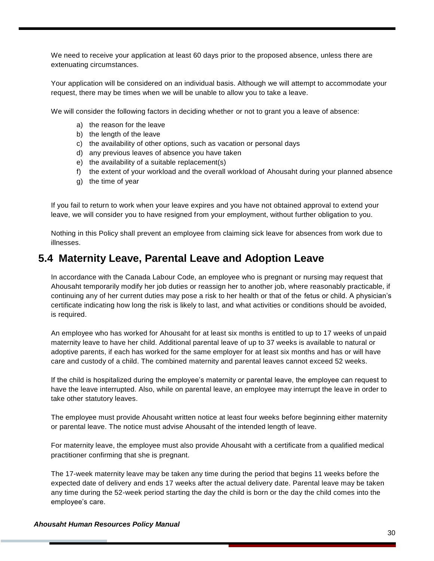We need to receive your application at least 60 days prior to the proposed absence, unless there are extenuating circumstances.

Your application will be considered on an individual basis. Although we will attempt to accommodate your request, there may be times when we will be unable to allow you to take a leave.

We will consider the following factors in deciding whether or not to grant you a leave of absence:

- a) the reason for the leave
- b) the length of the leave
- c) the availability of other options, such as vacation or personal days
- d) any previous leaves of absence you have taken
- e) the availability of a suitable replacement(s)
- f) the extent of your workload and the overall workload of Ahousaht during your planned absence
- g) the time of year

If you fail to return to work when your leave expires and you have not obtained approval to extend your leave, we will consider you to have resigned from your employment, without further obligation to you.

Nothing in this Policy shall prevent an employee from claiming sick leave for absences from work due to illnesses.

### <span id="page-30-0"></span>**5.4 Maternity Leave, Parental Leave and Adoption Leave**

In accordance with the Canada Labour Code, an employee who is pregnant or nursing may request that Ahousaht temporarily modify her job duties or reassign her to another job, where reasonably practicable, if continuing any of her current duties may pose a risk to her health or that of the fetus or child. A physician's certificate indicating how long the risk is likely to last, and what activities or conditions should be avoided, is required.

An employee who has worked for Ahousaht for at least six months is entitled to up to 17 weeks of unpaid maternity leave to have her child. Additional parental leave of up to 37 weeks is available to natural or adoptive parents, if each has worked for the same employer for at least six months and has or will have care and custody of a child. The combined maternity and parental leaves cannot exceed 52 weeks.

If the child is hospitalized during the employee's maternity or parental leave, the employee can request to have the leave interrupted. Also, while on parental leave, an employee may interrupt the leave in order to take other statutory leaves.

The employee must provide Ahousaht written notice at least four weeks before beginning either maternity or parental leave. The notice must advise Ahousaht of the intended length of leave.

For maternity leave, the employee must also provide Ahousaht with a certificate from a qualified medical practitioner confirming that she is pregnant.

The 17-week maternity leave may be taken any time during the period that begins 11 weeks before the expected date of delivery and ends 17 weeks after the actual delivery date. Parental leave may be taken any time during the 52-week period starting the day the child is born or the day the child comes into the employee's care.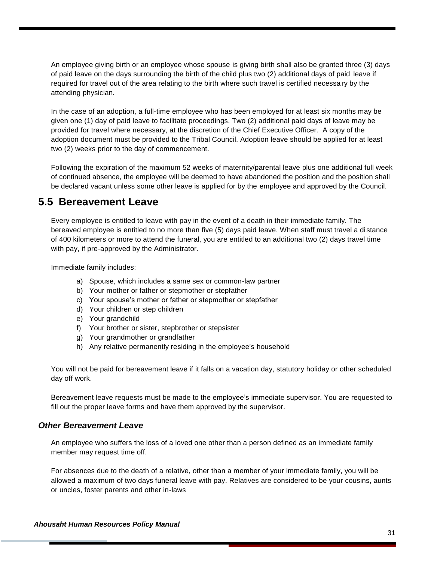An employee giving birth or an employee whose spouse is giving birth shall also be granted three (3) days of paid leave on the days surrounding the birth of the child plus two (2) additional days of paid leave if required for travel out of the area relating to the birth where such travel is certified necessary by the attending physician.

In the case of an adoption, a full-time employee who has been employed for at least six months may be given one (1) day of paid leave to facilitate proceedings. Two (2) additional paid days of leave may be provided for travel where necessary, at the discretion of the Chief Executive Officer. A copy of the adoption document must be provided to the Tribal Council. Adoption leave should be applied for at least two (2) weeks prior to the day of commencement.

Following the expiration of the maximum 52 weeks of maternity/parental leave plus one additional full week of continued absence, the employee will be deemed to have abandoned the position and the position shall be declared vacant unless some other leave is applied for by the employee and approved by the Council.

### <span id="page-31-0"></span>**5.5 Bereavement Leave**

Every employee is entitled to leave with pay in the event of a death in their immediate family. The bereaved employee is entitled to no more than five (5) days paid leave. When staff must travel a distance of 400 kilometers or more to attend the funeral, you are entitled to an additional two (2) days travel time with pay, if pre-approved by the Administrator.

Immediate family includes:

- a) Spouse, which includes a same sex or common-law partner
- b) Your mother or father or stepmother or stepfather
- c) Your spouse's mother or father or stepmother or stepfather
- d) Your children or step children
- e) Your grandchild
- f) Your brother or sister, stepbrother or stepsister
- g) Your grandmother or grandfather
- h) Any relative permanently residing in the employee's household

You will not be paid for bereavement leave if it falls on a vacation day, statutory holiday or other scheduled day off work.

Bereavement leave requests must be made to the employee's immediate supervisor. You are reques ted to fill out the proper leave forms and have them approved by the supervisor.

#### *Other Bereavement Leave*

An employee who suffers the loss of a loved one other than a person defined as an immediate family member may request time off.

For absences due to the death of a relative, other than a member of your immediate family, you will be allowed a maximum of two days funeral leave with pay. Relatives are considered to be your cousins, aunts or uncles, foster parents and other in-laws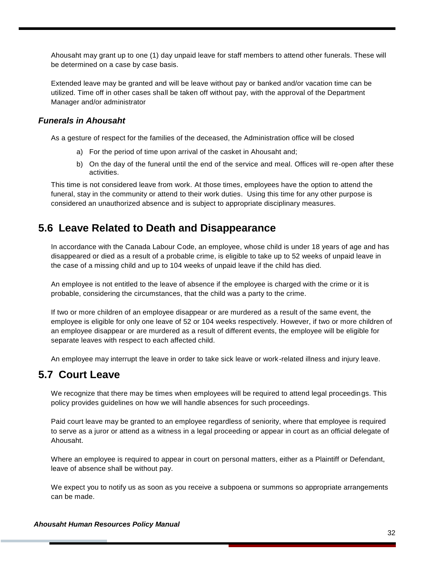Ahousaht may grant up to one (1) day unpaid leave for staff members to attend other funerals. These will be determined on a case by case basis.

Extended leave may be granted and will be leave without pay or banked and/or vacation time can be utilized. Time off in other cases shall be taken off without pay, with the approval of the Department Manager and/or administrator

#### *Funerals in Ahousaht*

As a gesture of respect for the families of the deceased, the Administration office will be closed

- a) For the period of time upon arrival of the casket in Ahousaht and;
- b) On the day of the funeral until the end of the service and meal. Offices will re-open after these activities.

This time is not considered leave from work. At those times, employees have the option to attend the funeral, stay in the community or attend to their work duties. Using this time for any other purpose is considered an unauthorized absence and is subject to appropriate disciplinary measures.

### <span id="page-32-0"></span>**5.6 Leave Related to Death and Disappearance**

In accordance with the Canada Labour Code, an employee, whose child is under 18 years of age and has disappeared or died as a result of a probable crime, is eligible to take up to 52 weeks of unpaid leave in the case of a missing child and up to 104 weeks of unpaid leave if the child has died.

An employee is not entitled to the leave of absence if the employee is charged with the crime or it is probable, considering the circumstances, that the child was a party to the crime.

If two or more children of an employee disappear or are murdered as a result of the same event, the employee is eligible for only one leave of 52 or 104 weeks respectively. However, if two or more children of an employee disappear or are murdered as a result of different events, the employee will be eligible for separate leaves with respect to each affected child.

An employee may interrupt the leave in order to take sick leave or work-related illness and injury leave.

### <span id="page-32-1"></span>**5.7 Court Leave**

We recognize that there may be times when employees will be required to attend legal proceedings. This policy provides guidelines on how we will handle absences for such proceedings.

Paid court leave may be granted to an employee regardless of seniority, where that employee is required to serve as a juror or attend as a witness in a legal proceeding or appear in court as an official delegate of Ahousaht.

Where an employee is required to appear in court on personal matters, either as a Plaintiff or Defendant, leave of absence shall be without pay.

We expect you to notify us as soon as you receive a subpoena or summons so appropriate arrangements can be made.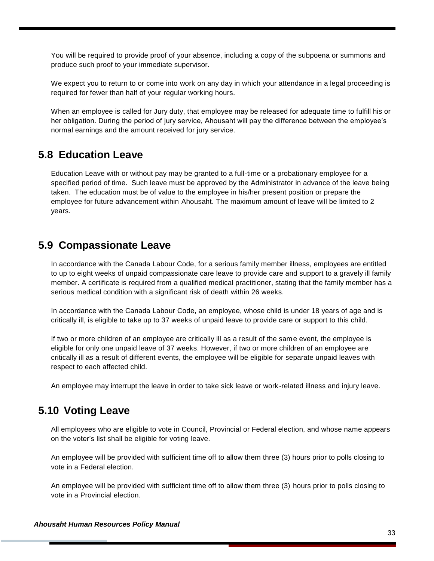You will be required to provide proof of your absence, including a copy of the subpoena or summons and produce such proof to your immediate supervisor.

We expect you to return to or come into work on any day in which your attendance in a legal proceeding is required for fewer than half of your regular working hours.

When an employee is called for Jury duty, that employee may be released for adequate time to fulfill his or her obligation. During the period of jury service, Ahousaht will pay the difference between the employee's normal earnings and the amount received for jury service.

### <span id="page-33-0"></span>**5.8 Education Leave**

Education Leave with or without pay may be granted to a full-time or a probationary employee for a specified period of time. Such leave must be approved by the Administrator in advance of the leave being taken. The education must be of value to the employee in his/her present position or prepare the employee for future advancement within Ahousaht. The maximum amount of leave will be limited to 2 years.

### <span id="page-33-1"></span>**5.9 Compassionate Leave**

In accordance with the Canada Labour Code, for a serious family member illness, employees are entitled to up to eight weeks of unpaid compassionate care leave to provide care and support to a gravely ill family member. A certificate is required from a qualified medical practitioner, stating that the family member has a serious medical condition with a significant risk of death within 26 weeks.

In accordance with the Canada Labour Code, an employee, whose child is under 18 years of age and is critically ill, is eligible to take up to 37 weeks of unpaid leave to provide care or support to this child.

If two or more children of an employee are critically ill as a result of the same event, the employee is eligible for only one unpaid leave of 37 weeks. However, if two or more children of an employee are critically ill as a result of different events, the employee will be eligible for separate unpaid leaves with respect to each affected child.

An employee may interrupt the leave in order to take sick leave or work-related illness and injury leave.

### <span id="page-33-2"></span>**5.10 Voting Leave**

All employees who are eligible to vote in Council, Provincial or Federal election, and whose name appears on the voter's list shall be eligible for voting leave.

An employee will be provided with sufficient time off to allow them three (3) hours prior to polls closing to vote in a Federal election.

An employee will be provided with sufficient time off to allow them three (3) hours prior to polls closing to vote in a Provincial election.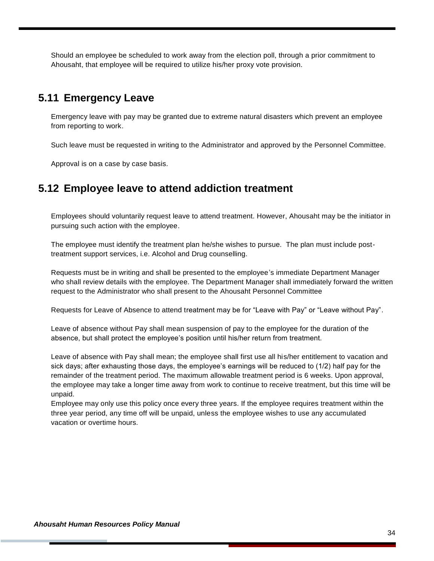Should an employee be scheduled to work away from the election poll, through a prior commitment to Ahousaht, that employee will be required to utilize his/her proxy vote provision.

### <span id="page-34-0"></span>**5.11 Emergency Leave**

Emergency leave with pay may be granted due to extreme natural disasters which prevent an employee from reporting to work.

Such leave must be requested in writing to the Administrator and approved by the Personnel Committee.

Approval is on a case by case basis.

### <span id="page-34-1"></span>**5.12 Employee leave to attend addiction treatment**

Employees should voluntarily request leave to attend treatment. However, Ahousaht may be the initiator in pursuing such action with the employee.

The employee must identify the treatment plan he/she wishes to pursue. The plan must include posttreatment support services, i.e. Alcohol and Drug counselling.

Requests must be in writing and shall be presented to the employee's immediate Department Manager who shall review details with the employee. The Department Manager shall immediately forward the written request to the Administrator who shall present to the Ahousaht Personnel Committee

Requests for Leave of Absence to attend treatment may be for "Leave with Pay" or "Leave without Pay".

Leave of absence without Pay shall mean suspension of pay to the employee for the duration of the absence, but shall protect the employee's position until his/her return from treatment.

Leave of absence with Pay shall mean; the employee shall first use all his/her entitlement to vacation and sick days; after exhausting those days, the employee's earnings will be reduced to (1/2) half pay for the remainder of the treatment period. The maximum allowable treatment period is 6 weeks. Upon approval, the employee may take a longer time away from work to continue to receive treatment, but this time will be unpaid.

<span id="page-34-2"></span>Employee may only use this policy once every three years. If the employee requires treatment within the three year period, any time off will be unpaid, unless the employee wishes to use any accumulated vacation or overtime hours.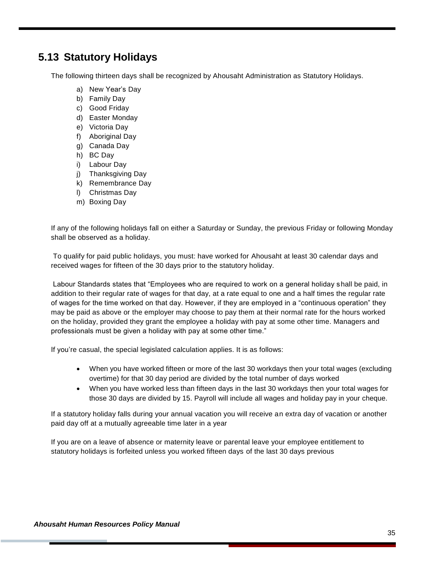### **5.13 Statutory Holidays**

The following thirteen days shall be recognized by Ahousaht Administration as Statutory Holidays.

- a) New Year's Day
- b) Family Day
- c) Good Friday
- d) Easter Monday
- e) Victoria Day
- f) Aboriginal Day
- g) Canada Day
- h) BC Day
- i) Labour Day
- j) Thanksgiving Day
- k) Remembrance Day
- l) Christmas Day
- m) Boxing Day

If any of the following holidays fall on either a Saturday or Sunday, the previous Friday or following Monday shall be observed as a holiday.

To qualify for paid public holidays, you must: have worked for Ahousaht at least 30 calendar days and received wages for fifteen of the 30 days prior to the statutory holiday.

Labour Standards states that "Employees who are required to work on a general holiday shall be paid, in addition to their regular rate of wages for that day, at a rate equal to one and a half times the regular rate of wages for the time worked on that day. However, if they are employed in a "continuous operation" they may be paid as above or the employer may choose to pay them at their normal rate for the hours worked on the holiday, provided they grant the employee a holiday with pay at some other time. Managers and professionals must be given a holiday with pay at some other time."

If you're casual, the special legislated calculation applies. It is as follows:

- When you have worked fifteen or more of the last 30 workdays then your total wages (excluding overtime) for that 30 day period are divided by the total number of days worked
- When you have worked less than fifteen days in the last 30 workdays then your total wages for those 30 days are divided by 15. Payroll will include all wages and holiday pay in your cheque.

If a statutory holiday falls during your annual vacation you will receive an extra day of vacation or another paid day off at a mutually agreeable time later in a year

If you are on a leave of absence or maternity leave or parental leave your employee entitlement to statutory holidays is forfeited unless you worked fifteen days of the last 30 days previous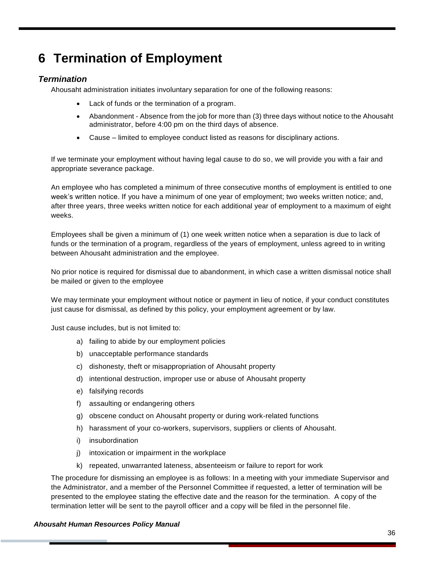## <span id="page-36-0"></span>**6 Termination of Employment**

#### *Termination*

Ahousaht administration initiates involuntary separation for one of the following reasons:

- Lack of funds or the termination of a program.
- Abandonment Absence from the job for more than (3) three days without notice to the Ahousaht administrator, before 4:00 pm on the third days of absence.
- Cause limited to employee conduct listed as reasons for disciplinary actions.

If we terminate your employment without having legal cause to do so, we will provide you with a fair and appropriate severance package.

An employee who has completed a minimum of three consecutive months of employment is entitled to one week's written notice. If you have a minimum of one year of employment; two weeks written notice; and, after three years, three weeks written notice for each additional year of employment to a maximum of eight weeks.

Employees shall be given a minimum of (1) one week written notice when a separation is due to lack of funds or the termination of a program, regardless of the years of employment, unless agreed to in writing between Ahousaht administration and the employee.

No prior notice is required for dismissal due to abandonment, in which case a written dismissal notice shall be mailed or given to the employee

We may terminate your employment without notice or payment in lieu of notice, if your conduct constitutes just cause for dismissal, as defined by this policy, your employment agreement or by law.

Just cause includes, but is not limited to:

- a) failing to abide by our employment policies
- b) unacceptable performance standards
- c) dishonesty, theft or misappropriation of Ahousaht property
- d) intentional destruction, improper use or abuse of Ahousaht property
- e) falsifying records
- f) assaulting or endangering others
- g) obscene conduct on Ahousaht property or during work-related functions
- h) harassment of your co-workers, supervisors, suppliers or clients of Ahousaht.
- i) insubordination
- j) intoxication or impairment in the workplace
- k) repeated, unwarranted lateness, absenteeism or failure to report for work

The procedure for dismissing an employee is as follows: In a meeting with your immediate Supervisor and the Administrator, and a member of the Personnel Committee if requested, a letter of termination will be presented to the employee stating the effective date and the reason for the termination. A copy of the termination letter will be sent to the payroll officer and a copy will be filed in the personnel file.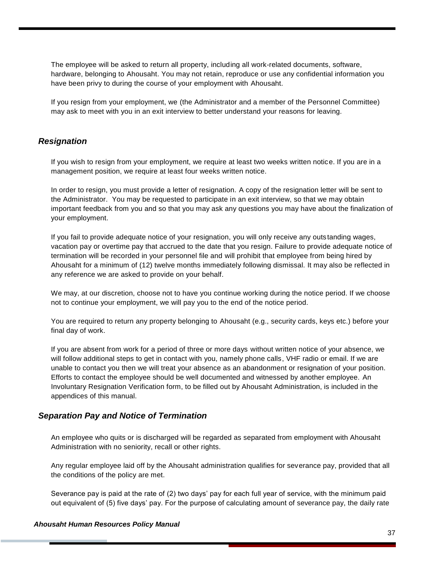The employee will be asked to return all property, including all work-related documents, software, hardware, belonging to Ahousaht. You may not retain, reproduce or use any confidential information you have been privy to during the course of your employment with Ahousaht.

If you resign from your employment, we (the Administrator and a member of the Personnel Committee) may ask to meet with you in an exit interview to better understand your reasons for leaving.

#### *Resignation*

If you wish to resign from your employment, we require at least two weeks written notice. If you are in a management position, we require at least four weeks written notice.

In order to resign, you must provide a letter of resignation. A copy of the resignation letter will be sent to the Administrator. You may be requested to participate in an exit interview, so that we may obtain important feedback from you and so that you may ask any questions you may have about the finalization of your employment.

If you fail to provide adequate notice of your resignation, you will only receive any outstanding wages, vacation pay or overtime pay that accrued to the date that you resign. Failure to provide adequate notice of termination will be recorded in your personnel file and will prohibit that employee from being hired by Ahousaht for a minimum of (12) twelve months immediately following dismissal. It may also be reflected in any reference we are asked to provide on your behalf.

We may, at our discretion, choose not to have you continue working during the notice period. If we choose not to continue your employment, we will pay you to the end of the notice period.

You are required to return any property belonging to Ahousaht (e.g., security cards, keys etc.) before your final day of work.

If you are absent from work for a period of three or more days without written notice of your absence, we will follow additional steps to get in contact with you, namely phone calls, VHF radio or email. If we are unable to contact you then we will treat your absence as an abandonment or resignation of your position. Efforts to contact the employee should be well documented and witnessed by another employee. An Involuntary Resignation Verification form, to be filled out by Ahousaht Administration, is included in the appendices of this manual.

#### *Separation Pay and Notice of Termination*

An employee who quits or is discharged will be regarded as separated from employment with Ahousaht Administration with no seniority, recall or other rights.

Any regular employee laid off by the Ahousaht administration qualifies for severance pay, provided that all the conditions of the policy are met.

Severance pay is paid at the rate of (2) two days' pay for each full year of service, with the minimum paid out equivalent of (5) five days' pay. For the purpose of calculating amount of severance pay, the daily rate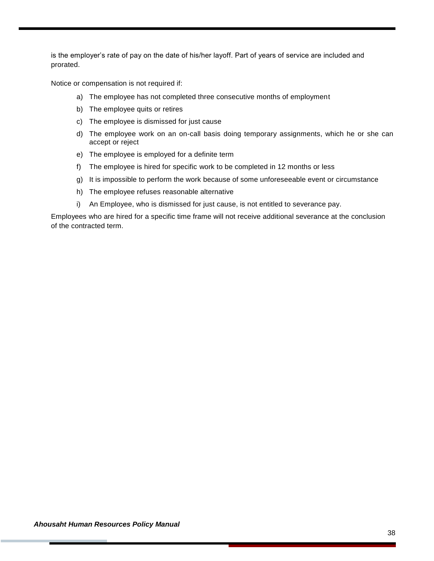is the employer's rate of pay on the date of his/her layoff. Part of years of service are included and prorated.

Notice or compensation is not required if:

- a) The employee has not completed three consecutive months of employment
- b) The employee quits or retires
- c) The employee is dismissed for just cause
- d) The employee work on an on-call basis doing temporary assignments, which he or she can accept or reject
- e) The employee is employed for a definite term
- f) The employee is hired for specific work to be completed in 12 months or less
- g) It is impossible to perform the work because of some unforeseeable event or circumstance
- h) The employee refuses reasonable alternative
- i) An Employee, who is dismissed for just cause, is not entitled to severance pay.

Employees who are hired for a specific time frame will not receive additional severance at the conclusion of the contracted term.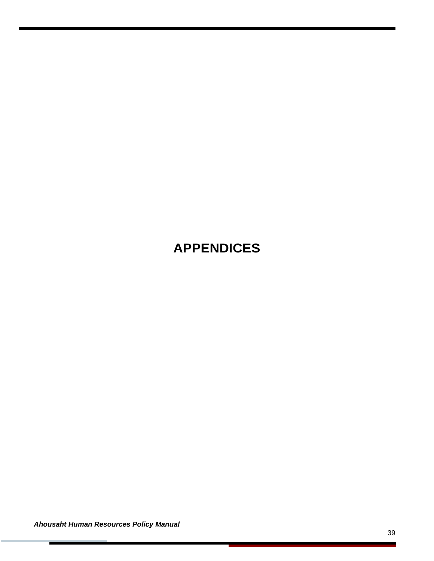## <span id="page-39-0"></span>**APPENDICES**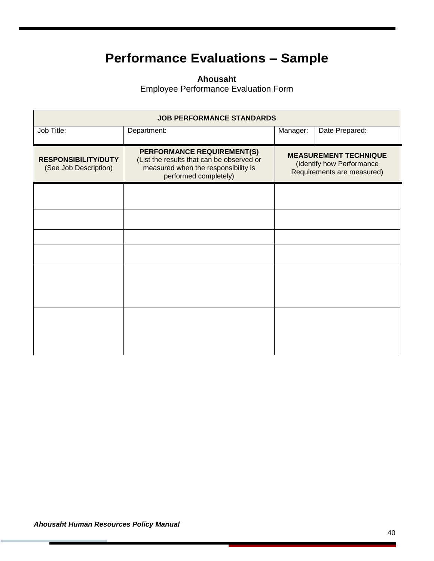## **Performance Evaluations – Sample**

**Ahousaht**

Employee Performance Evaluation Form

<span id="page-40-0"></span>

| <b>JOB PERFORMANCE STANDARDS</b>                    |                                                                                                                                         |          |                                                                                         |  |  |  |  |
|-----------------------------------------------------|-----------------------------------------------------------------------------------------------------------------------------------------|----------|-----------------------------------------------------------------------------------------|--|--|--|--|
| Job Title:                                          | Department:                                                                                                                             | Manager: | Date Prepared:                                                                          |  |  |  |  |
| <b>RESPONSIBILITY/DUTY</b><br>(See Job Description) | PERFORMANCE REQUIREMENT(S)<br>(List the results that can be observed or<br>measured when the responsibility is<br>performed completely) |          | <b>MEASUREMENT TECHNIQUE</b><br>(Identify how Performance<br>Requirements are measured) |  |  |  |  |
|                                                     |                                                                                                                                         |          |                                                                                         |  |  |  |  |
|                                                     |                                                                                                                                         |          |                                                                                         |  |  |  |  |
|                                                     |                                                                                                                                         |          |                                                                                         |  |  |  |  |
|                                                     |                                                                                                                                         |          |                                                                                         |  |  |  |  |
|                                                     |                                                                                                                                         |          |                                                                                         |  |  |  |  |
|                                                     |                                                                                                                                         |          |                                                                                         |  |  |  |  |
|                                                     |                                                                                                                                         |          |                                                                                         |  |  |  |  |
|                                                     |                                                                                                                                         |          |                                                                                         |  |  |  |  |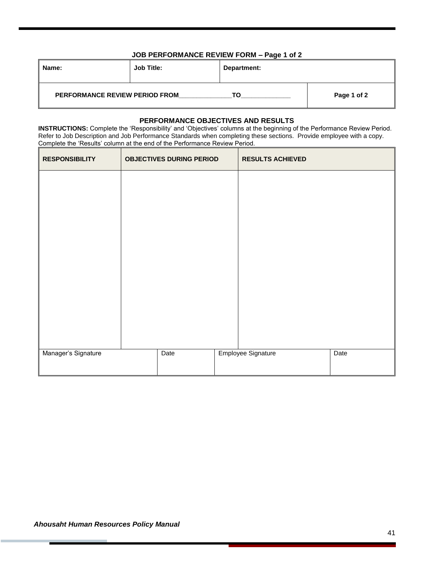#### **JOB PERFORMANCE REVIEW FORM – Page 1 of 2**

| Name:                                 | <b>Job Title:</b> | Department: |             |
|---------------------------------------|-------------------|-------------|-------------|
| <b>PERFORMANCE REVIEW PERIOD FROM</b> |                   | ТΩ          | Page 1 of 2 |

#### **PERFORMANCE OBJECTIVES AND RESULTS**

**INSTRUCTIONS:** Complete the 'Responsibility' and 'Objectives' columns at the beginning of the Performance Review Period. Refer to Job Description and Job Performance Standards when completing these sections. Provide employee with a copy. Complete the 'Results' column at the end of the Performance Review Period.

| <b>RESPONSIBILITY</b> | <b>OBJECTIVES DURING PERIOD</b> | <b>RESULTS ACHIEVED</b> |      |
|-----------------------|---------------------------------|-------------------------|------|
|                       |                                 |                         |      |
|                       |                                 |                         |      |
|                       |                                 |                         |      |
|                       |                                 |                         |      |
|                       |                                 |                         |      |
|                       |                                 |                         |      |
|                       |                                 |                         |      |
|                       |                                 |                         |      |
|                       |                                 |                         |      |
| Manager's Signature   | Date                            | Employee Signature      | Date |
|                       |                                 |                         |      |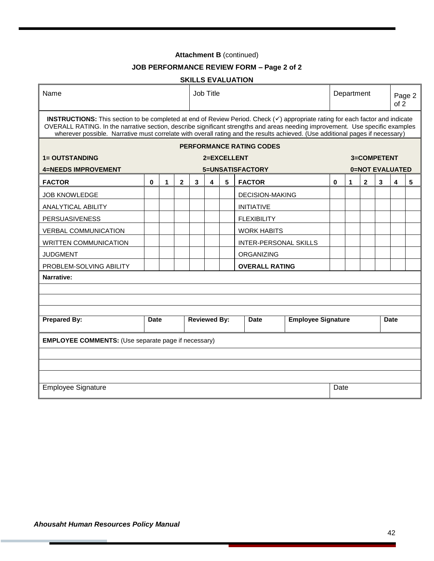#### **Attachment B** (continued)

#### **JOB PERFORMANCE REVIEW FORM – Page 2 of 2**

#### **SKILLS EVALUATION**

| Name                                                                                                                                                                                                                                                                                                                                                                                            |      |   |              |   | <b>Job Title</b>                                                |   |                                 |  |             | Department |              |                        | of 2 | Page 2 |
|-------------------------------------------------------------------------------------------------------------------------------------------------------------------------------------------------------------------------------------------------------------------------------------------------------------------------------------------------------------------------------------------------|------|---|--------------|---|-----------------------------------------------------------------|---|---------------------------------|--|-------------|------------|--------------|------------------------|------|--------|
| INSTRUCTIONS: This section to be completed at end of Review Period. Check (v) appropriate rating for each factor and indicate<br>OVERALL RATING. In the narrative section, describe significant strengths and areas needing improvement. Use specific examples<br>wherever possible. Narrative must correlate with overall rating and the results achieved. (Use additional pages if necessary) |      |   |              |   |                                                                 |   |                                 |  |             |            |              |                        |      |        |
|                                                                                                                                                                                                                                                                                                                                                                                                 |      |   |              |   |                                                                 |   | <b>PERFORMANCE RATING CODES</b> |  |             |            |              |                        |      |        |
| <b>1= OUTSTANDING</b>                                                                                                                                                                                                                                                                                                                                                                           |      |   |              |   | 2=EXCELLENT                                                     |   |                                 |  |             |            |              | 3=COMPETENT            |      |        |
| <b>4=NEEDS IMPROVEMENT</b>                                                                                                                                                                                                                                                                                                                                                                      |      |   |              |   |                                                                 |   | 5=UNSATISFACTORY                |  |             |            |              | <b>0=NOT EVALUATED</b> |      |        |
| <b>FACTOR</b>                                                                                                                                                                                                                                                                                                                                                                                   | 0    | 1 | $\mathbf{2}$ | 3 | 4                                                               | 5 | <b>FACTOR</b>                   |  | 0           | 1          | $\mathbf{2}$ | 3                      | 4    | 5      |
| <b>JOB KNOWLEDGE</b>                                                                                                                                                                                                                                                                                                                                                                            |      |   |              |   |                                                                 |   | <b>DECISION-MAKING</b>          |  |             |            |              |                        |      |        |
| <b>ANALYTICAL ABILITY</b>                                                                                                                                                                                                                                                                                                                                                                       |      |   |              |   |                                                                 |   | <b>INITIATIVE</b>               |  |             |            |              |                        |      |        |
| <b>PERSUASIVENESS</b>                                                                                                                                                                                                                                                                                                                                                                           |      |   |              |   |                                                                 |   | <b>FLEXIBILITY</b>              |  |             |            |              |                        |      |        |
| <b>VERBAL COMMUNICATION</b>                                                                                                                                                                                                                                                                                                                                                                     |      |   |              |   |                                                                 |   | <b>WORK HABITS</b>              |  |             |            |              |                        |      |        |
| <b>WRITTEN COMMUNICATION</b>                                                                                                                                                                                                                                                                                                                                                                    |      |   |              |   |                                                                 |   | <b>INTER-PERSONAL SKILLS</b>    |  |             |            |              |                        |      |        |
| <b>JUDGMENT</b>                                                                                                                                                                                                                                                                                                                                                                                 |      |   |              |   |                                                                 |   | ORGANIZING                      |  |             |            |              |                        |      |        |
| PROBLEM-SOLVING ABILITY                                                                                                                                                                                                                                                                                                                                                                         |      |   |              |   |                                                                 |   | <b>OVERALL RATING</b>           |  |             |            |              |                        |      |        |
| Narrative:                                                                                                                                                                                                                                                                                                                                                                                      |      |   |              |   |                                                                 |   |                                 |  |             |            |              |                        |      |        |
|                                                                                                                                                                                                                                                                                                                                                                                                 |      |   |              |   |                                                                 |   |                                 |  |             |            |              |                        |      |        |
|                                                                                                                                                                                                                                                                                                                                                                                                 |      |   |              |   |                                                                 |   |                                 |  |             |            |              |                        |      |        |
|                                                                                                                                                                                                                                                                                                                                                                                                 |      |   |              |   |                                                                 |   |                                 |  |             |            |              |                        |      |        |
| <b>Prepared By:</b><br><b>Date</b>                                                                                                                                                                                                                                                                                                                                                              |      |   |              |   | <b>Reviewed By:</b><br><b>Employee Signature</b><br><b>Date</b> |   |                                 |  | <b>Date</b> |            |              |                        |      |        |
| <b>EMPLOYEE COMMENTS:</b> (Use separate page if necessary)                                                                                                                                                                                                                                                                                                                                      |      |   |              |   |                                                                 |   |                                 |  |             |            |              |                        |      |        |
|                                                                                                                                                                                                                                                                                                                                                                                                 |      |   |              |   |                                                                 |   |                                 |  |             |            |              |                        |      |        |
|                                                                                                                                                                                                                                                                                                                                                                                                 |      |   |              |   |                                                                 |   |                                 |  |             |            |              |                        |      |        |
|                                                                                                                                                                                                                                                                                                                                                                                                 |      |   |              |   |                                                                 |   |                                 |  |             |            |              |                        |      |        |
| <b>Employee Signature</b>                                                                                                                                                                                                                                                                                                                                                                       | Date |   |              |   |                                                                 |   |                                 |  |             |            |              |                        |      |        |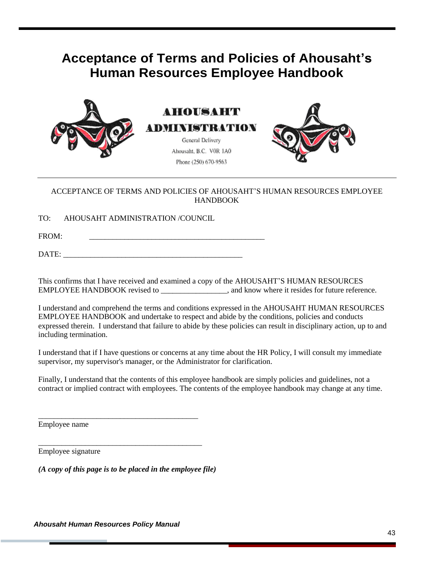## <span id="page-43-0"></span>**Acceptance of Terms and Policies of Ahousaht's Human Resources Employee Handbook**



**AHOUSAHT** ADMINISTRATION

> General Delivery Ahousaht, B.C. VOR 1A0 Phone (250) 670-9563



#### ACCEPTANCE OF TERMS AND POLICIES OF AHOUSAHT'S HUMAN RESOURCES EMPLOYEE HANDBOOK

TO: AHOUSAHT ADMINISTRATION /COUNCIL

FROM: \_\_\_\_\_\_\_\_\_\_\_\_\_\_\_\_\_\_\_\_\_\_\_\_\_\_\_\_\_\_\_\_\_\_\_\_\_\_\_\_\_\_\_\_\_

DATE:

This confirms that I have received and examined a copy of the AHOUSAHT'S HUMAN RESOURCES EMPLOYEE HANDBOOK revised to \_\_\_\_\_\_\_\_\_\_\_\_\_\_\_\_\_, and know where it resides for future reference.

I understand and comprehend the terms and conditions expressed in the AHOUSAHT HUMAN RESOURCES EMPLOYEE HANDBOOK and undertake to respect and abide by the conditions, policies and conducts expressed therein. I understand that failure to abide by these policies can result in disciplinary action, up to and including termination.

I understand that if I have questions or concerns at any time about the HR Policy, I will consult my immediate supervisor, my supervisor's manager, or the Administrator for clarification.

Finally, I understand that the contents of this employee handbook are simply policies and guidelines, not a contract or implied contract with employees. The contents of the employee handbook may change at any time.

Employee name

Employee signature

*(A copy of this page is to be placed in the employee file)*

\_\_\_\_\_\_\_\_\_\_\_\_\_\_\_\_\_\_\_\_\_\_\_\_\_\_\_\_\_\_\_\_\_\_\_\_\_\_\_\_\_

\_\_\_\_\_\_\_\_\_\_\_\_\_\_\_\_\_\_\_\_\_\_\_\_\_\_\_\_\_\_\_\_\_\_\_\_\_\_\_\_\_\_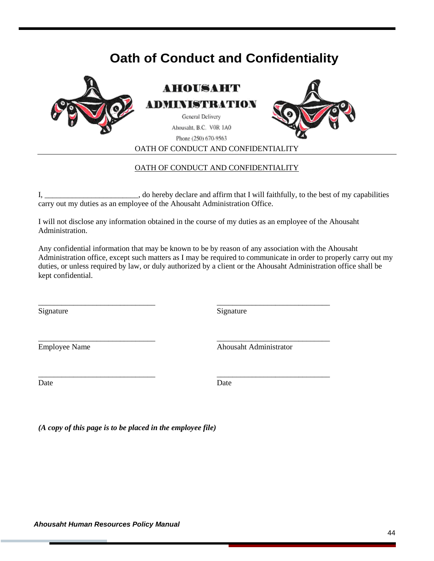## **Oath of Conduct and Confidentiality**

<span id="page-44-0"></span>

OATH OF CONDUCT AND CONFIDENTIALITY

#### OATH OF CONDUCT AND CONFIDENTIALITY

I, \_\_\_\_\_\_\_\_\_\_\_\_\_\_\_\_\_\_\_\_\_\_\_\_, do hereby declare and affirm that I will faithfully, to the best of my capabilities carry out my duties as an employee of the Ahousaht Administration Office.

I will not disclose any information obtained in the course of my duties as an employee of the Ahousaht Administration.

\_\_\_\_\_\_\_\_\_\_\_\_\_\_\_\_\_\_\_\_\_\_\_\_\_\_\_\_\_\_ \_\_\_\_\_\_\_\_\_\_\_\_\_\_\_\_\_\_\_\_\_\_\_\_\_\_\_\_\_

\_\_\_\_\_\_\_\_\_\_\_\_\_\_\_\_\_\_\_\_\_\_\_\_\_\_\_\_\_\_ \_\_\_\_\_\_\_\_\_\_\_\_\_\_\_\_\_\_\_\_\_\_\_\_\_\_\_\_\_

\_\_\_\_\_\_\_\_\_\_\_\_\_\_\_\_\_\_\_\_\_\_\_\_\_\_\_\_\_\_ \_\_\_\_\_\_\_\_\_\_\_\_\_\_\_\_\_\_\_\_\_\_\_\_\_\_\_\_\_

Any confidential information that may be known to be by reason of any association with the Ahousaht Administration office, except such matters as I may be required to communicate in order to properly carry out my duties, or unless required by law, or duly authorized by a client or the Ahousaht Administration office shall be kept confidential.

Signature Signature Signature

Employee Name Ahousaht Administrator

Date Date Date

*(A copy of this page is to be placed in the employee file)*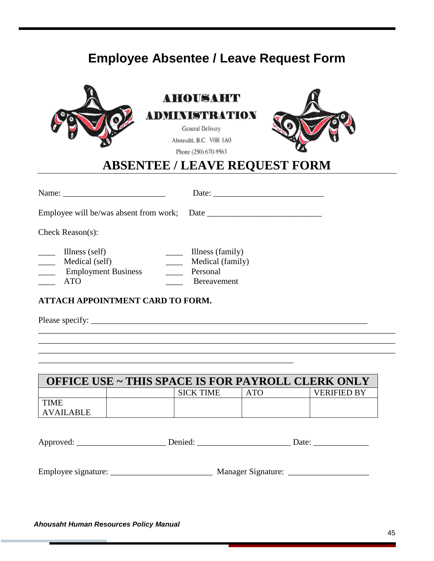## **Employee Absentee / Leave Request Form**

<span id="page-45-0"></span>

|                                                                                                                      | AHOUSAHT<br>ADMINISTRATION<br>General Delivery<br>Ahousaht, B.C. VOR 1A0<br>Phone (250) 670-9563<br><b>ABSENTEE / LEAVE REQUEST FORM</b> |  |
|----------------------------------------------------------------------------------------------------------------------|------------------------------------------------------------------------------------------------------------------------------------------|--|
|                                                                                                                      |                                                                                                                                          |  |
|                                                                                                                      | Date:                                                                                                                                    |  |
|                                                                                                                      |                                                                                                                                          |  |
| Check Reason $(s)$ :                                                                                                 |                                                                                                                                          |  |
| $\Box$ Illness (self)<br>$\frac{1}{\sqrt{1-\frac{1}{2}}}$ Medical (self)<br><b>Employment Business</b><br><b>ATO</b> | Illness (family)<br>Medical (family)<br>$\mathcal{L}^{\text{max}}$<br>Personal<br>$\mathbb{R}^2$<br>Bereavement                          |  |
| <b>ATTACH APPOINTMENT CARD TO FORM.</b>                                                                              |                                                                                                                                          |  |
|                                                                                                                      |                                                                                                                                          |  |
|                                                                                                                      |                                                                                                                                          |  |
|                                                                                                                      |                                                                                                                                          |  |
|                                                                                                                      |                                                                                                                                          |  |

| <b>OFFICE USE ~ THIS SPACE IS FOR PAYROLL CLERK ONLY</b> |  |                  |     |                    |  |  |  |  |  |  |
|----------------------------------------------------------|--|------------------|-----|--------------------|--|--|--|--|--|--|
|                                                          |  | <b>SICK TIME</b> | ATO | <b>VERIFIED BY</b> |  |  |  |  |  |  |
| <b>TIME</b>                                              |  |                  |     |                    |  |  |  |  |  |  |
| AVAILABLE                                                |  |                  |     |                    |  |  |  |  |  |  |

| An<br>. wec<br>$\sim$ $\sim$ $\sim$ | Jate |
|-------------------------------------|------|
|                                     |      |

Employee signature: \_\_\_\_\_\_\_\_\_\_\_\_\_\_\_\_\_\_\_\_\_\_\_\_ Manager Signature: \_\_\_\_\_\_\_\_\_\_\_\_\_\_\_\_\_\_\_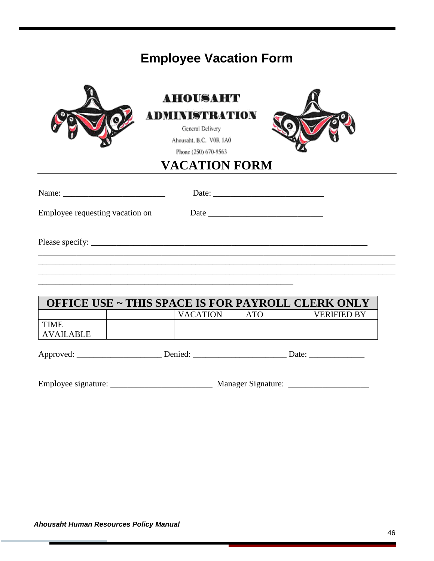## **Employee Vacation Form**

<span id="page-46-0"></span>

|                                                          | AHOUSAHT<br><b>ADMINISTRATION</b><br>General Delivery<br>Ahousaht, B.C. VOR 1A0<br>Phone (250) 670-9563 |            |                    |
|----------------------------------------------------------|---------------------------------------------------------------------------------------------------------|------------|--------------------|
|                                                          | <b>VACATION FORM</b>                                                                                    |            |                    |
| Name: $\frac{1}{\sqrt{1-\frac{1}{2}} \cdot \frac{1}{2}}$ |                                                                                                         |            |                    |
| Employee requesting vacation on                          |                                                                                                         |            |                    |
|                                                          |                                                                                                         |            |                    |
|                                                          | <b>OFFICE USE ~ THIS SPACE IS FOR PAYROLL CLERK ONLY</b>                                                |            |                    |
|                                                          | <b>VACATION</b>                                                                                         | <b>ATO</b> | <b>VERIFIED BY</b> |
| <b>TIME</b><br><b>AVAILABLE</b>                          |                                                                                                         |            |                    |
|                                                          |                                                                                                         |            |                    |

Employee signature: \_\_\_\_\_\_\_\_\_\_\_\_\_\_\_\_\_\_\_\_\_\_\_\_ Manager Signature: \_\_\_\_\_\_\_\_\_\_\_\_\_\_\_\_\_\_\_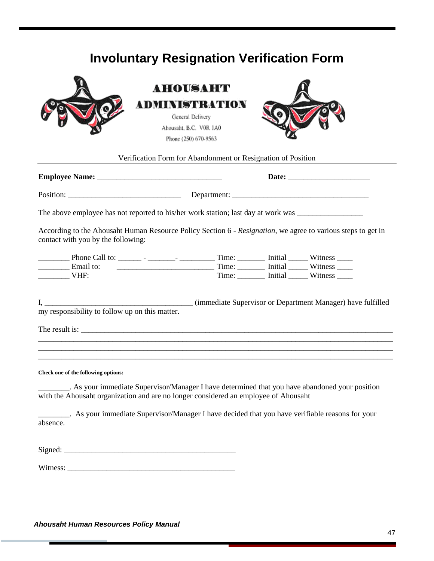## **Involuntary Resignation Verification Form**

<span id="page-47-0"></span>

|                                                | AHOUSAHT                                                                                                                                                                              |  |                                             |  |
|------------------------------------------------|---------------------------------------------------------------------------------------------------------------------------------------------------------------------------------------|--|---------------------------------------------|--|
|                                                | ADMINISTRATION                                                                                                                                                                        |  |                                             |  |
|                                                | General Delivery                                                                                                                                                                      |  |                                             |  |
|                                                | Ahousaht, B.C. VOR 1A0                                                                                                                                                                |  |                                             |  |
|                                                | Phone (250) 670-9563                                                                                                                                                                  |  |                                             |  |
|                                                | Verification Form for Abandonment or Resignation of Position                                                                                                                          |  |                                             |  |
|                                                |                                                                                                                                                                                       |  |                                             |  |
|                                                |                                                                                                                                                                                       |  |                                             |  |
|                                                |                                                                                                                                                                                       |  |                                             |  |
| contact with you by the following:             | According to the Ahousaht Human Resource Policy Section 6 - Resignation, we agree to various steps to get in                                                                          |  |                                             |  |
|                                                |                                                                                                                                                                                       |  |                                             |  |
| Email to:                                      |                                                                                                                                                                                       |  |                                             |  |
| VHF:                                           |                                                                                                                                                                                       |  | Time: ________ Initial ______ Witness _____ |  |
|                                                |                                                                                                                                                                                       |  |                                             |  |
| my responsibility to follow up on this matter. |                                                                                                                                                                                       |  |                                             |  |
|                                                |                                                                                                                                                                                       |  |                                             |  |
|                                                |                                                                                                                                                                                       |  |                                             |  |
|                                                |                                                                                                                                                                                       |  |                                             |  |
| Check one of the following options:            |                                                                                                                                                                                       |  |                                             |  |
|                                                | . As your immediate Supervisor/Manager I have determined that you have abandoned your position<br>with the Ahousaht organization and are no longer considered an employee of Ahousaht |  |                                             |  |
|                                                |                                                                                                                                                                                       |  |                                             |  |
| absence.                                       | ________. As your immediate Supervisor/Manager I have decided that you have verifiable reasons for your                                                                               |  |                                             |  |
|                                                |                                                                                                                                                                                       |  |                                             |  |
|                                                |                                                                                                                                                                                       |  |                                             |  |
|                                                |                                                                                                                                                                                       |  |                                             |  |
|                                                |                                                                                                                                                                                       |  |                                             |  |
|                                                |                                                                                                                                                                                       |  |                                             |  |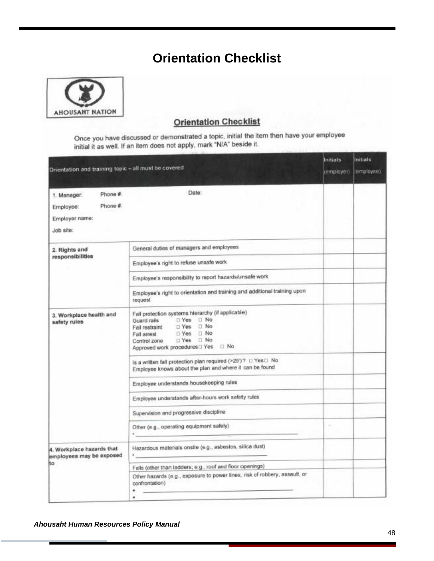## **Orientation Checklist**

<span id="page-48-0"></span>

### **Orientation Checklist**

Once you have discussed or demonstrated a topic, initial the item then have your employee initial it as well. If an item does not apply, mark "N/A" beside it.

| Onentation and training topic - all must be covered                           |                                                                                                                                                                            | Initials<br>(amployer) | <b>Initials</b><br>(employee) |
|-------------------------------------------------------------------------------|----------------------------------------------------------------------------------------------------------------------------------------------------------------------------|------------------------|-------------------------------|
| Phone #<br>1. Manager:<br>Phone #<br>Employee:<br>Employer name:<br>Job site: | Date:                                                                                                                                                                      |                        |                               |
| 2. Rights and                                                                 | General duties of managers and employees                                                                                                                                   |                        |                               |
| responsibilities                                                              | Employee's right to refuse unsafe work                                                                                                                                     |                        |                               |
|                                                                               | Employee's responsibility to report hazards/unsafe work                                                                                                                    |                        |                               |
|                                                                               | Employee's right to orientation and training and additional training upon<br>request                                                                                       |                        |                               |
| 3. Workplace health and<br>safety rules                                       | Fall protection systems hierarchy (if applicable)<br>□ Yes □ No<br>Guard rails<br>T Yes II No<br>Fall restraint<br>D Yes D No<br>Fall arrest<br>□ Yes □ No<br>Control zone |                        |                               |
|                                                                               | is a written fall protection plan required (>25')? D Yes D No<br>Employee knows about the plan and where it can be found                                                   |                        |                               |
|                                                                               | Employee understands housekeeping rules                                                                                                                                    |                        |                               |
|                                                                               | Employee understands after-hours work safety rules                                                                                                                         |                        |                               |
|                                                                               | Supervision and progressive discipline                                                                                                                                     |                        |                               |
|                                                                               | Other (e.g., operating equipment safely)<br><b>Construction of the Construction</b>                                                                                        |                        |                               |
| 4. Workplace hazards that<br>employees may be exposed                         | Hazardous materials onsite (e.g., asbestos, silica dust)                                                                                                                   |                        |                               |
| to                                                                            | Falls (other than ladders; e.g., roof and floor openings)                                                                                                                  |                        |                               |
|                                                                               | Other hazards (e.g., exposure to power lines; risk of robbery, assault, or<br>confrontation)<br>٠<br>٠                                                                     |                        |                               |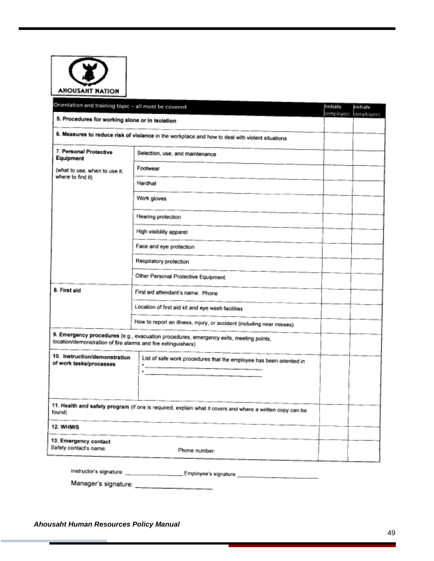| <b>AHOUSAHT NATION</b><br>Orientation and training topic – all must be covered |                                                                                                           | Initials   |                        |
|--------------------------------------------------------------------------------|-----------------------------------------------------------------------------------------------------------|------------|------------------------|
|                                                                                |                                                                                                           | (employer) | Initials<br>(employee) |
| 5. Procedures for working alone or in isolation                                |                                                                                                           |            |                        |
|                                                                                | 6. Measures to reduce risk of violence in the workplace and how to deal with violent situations           |            |                        |
| 7. Personal Protective<br>Equipment                                            | Selection, use, and maintenance                                                                           |            |                        |
| (what to use, when to use it,<br>where to find it)                             | Footwear                                                                                                  |            |                        |
|                                                                                | Hardhat                                                                                                   |            |                        |
|                                                                                | Work gloves                                                                                               |            |                        |
|                                                                                | Hearing protection                                                                                        |            |                        |
|                                                                                | High visibility apparel                                                                                   |            |                        |
|                                                                                | Face and eye protection                                                                                   |            |                        |
|                                                                                | Respiratory protection                                                                                    |            |                        |
|                                                                                | Other Personal Protective Equipment:                                                                      |            |                        |
| 8. First aid                                                                   | First aid attendant's name: Phone                                                                         |            |                        |
|                                                                                | Location of first aid kit and eye wash facilities                                                         |            |                        |
|                                                                                | How to report an illness, injury, or accident (including near misses)                                     |            |                        |
| location/demonstration of fire alarms and fire extinguishers)                  | 9. Emergency procedures (e.g., evacuation procedures, emergency exits, meeting points,                    |            |                        |
| 10. Instruction/demonstration<br>of work tasks/processes                       | List of safe work procedures that the employee has been oriented in                                       |            |                        |
|                                                                                | ٠                                                                                                         |            |                        |
|                                                                                |                                                                                                           |            |                        |
| found)                                                                         | 11. Health and safety program (if one is required, explain what it covers and where a written copy can be |            |                        |
| 12. WHMIS                                                                      |                                                                                                           |            |                        |
| 13. Emergency contact<br>Safety contact's name:                                | Phone number:                                                                                             |            |                        |
|                                                                                |                                                                                                           |            |                        |

the contract of the contract of the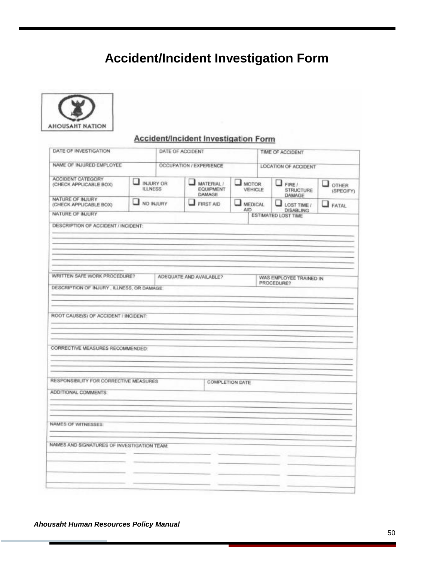## **Accident/Incident Investigation Form**

<span id="page-50-0"></span>

### **Accident/Incident Investigation Form**

| DATE OF INVESTIGATION                                             |   | DATE OF ACCIDENT                   |                                               | TIME OF ACCIDENT              |                      |                                             |                                           |
|-------------------------------------------------------------------|---|------------------------------------|-----------------------------------------------|-------------------------------|----------------------|---------------------------------------------|-------------------------------------------|
| NAME OF INJURED EMPLOYEE                                          |   | OCCUPATION / EXPERIENCE            |                                               |                               | LOCATION OF ACCIDENT |                                             |                                           |
| ACCIDENT CATEGORY<br>(CHECK APPLICABLE BOX)                       | и | <b>INJURY OR</b><br><b>ILLNESS</b> | ┚<br>MATERIAL /<br><b>EQUIPMENT</b><br>DAMAGE | <b>MOTOR</b><br>VEHICLE       |                      | $\Box$ FIRE /<br><b>STRUCTURE</b><br>DAMAGE | $\mathbf{r}$<br><b>OTHER</b><br>(SPECIFY) |
| NATURE OF INJURY<br>(CHECK APPLICABLE BOX)                        |   | I NO INJURY<br>FIRST AID           |                                               | <b>MEDICAL</b><br><b>CILA</b> |                      | ⊐<br>LOST TIME /<br><b>DISABLING</b>        | $\Box$ FATAL                              |
| NATURE OF INJURY                                                  |   |                                    |                                               |                               |                      | ESTIMATED LOST TIME                         |                                           |
| DESCRIPTION OF ACCIDENT / INCIDENT:                               |   |                                    |                                               |                               |                      |                                             |                                           |
|                                                                   |   |                                    |                                               |                               |                      |                                             |                                           |
|                                                                   |   |                                    |                                               |                               |                      |                                             |                                           |
|                                                                   |   |                                    |                                               |                               |                      |                                             |                                           |
| WRITTEN SAFE WORK PROCEDURE?                                      |   |                                    | ADEQUATE AND AVAILABLE?                       |                               |                      | WAS EMPLOYEE TRAINED IN                     |                                           |
| DESCRIPTION OF INJURY, ILLNESS, OR DAMAGE:                        |   |                                    |                                               |                               |                      | PROCEDURE?                                  |                                           |
|                                                                   |   |                                    |                                               |                               |                      |                                             |                                           |
|                                                                   |   |                                    |                                               |                               |                      |                                             |                                           |
| ROOT CAUSE(S) OF ACCIDENT / INCIDENT:                             |   |                                    |                                               |                               |                      |                                             |                                           |
|                                                                   |   |                                    |                                               |                               |                      |                                             |                                           |
|                                                                   |   |                                    |                                               |                               |                      |                                             |                                           |
| CORRECTIVE MEASURES RECOMMENDED:                                  |   |                                    |                                               |                               |                      |                                             |                                           |
|                                                                   |   |                                    |                                               |                               |                      |                                             |                                           |
|                                                                   |   |                                    |                                               |                               |                      |                                             |                                           |
|                                                                   |   |                                    |                                               |                               |                      |                                             |                                           |
| RESPONSIBILITY FOR CORRECTIVE MEASURES                            |   |                                    | <b>COMPLETION DATE</b>                        |                               |                      |                                             |                                           |
| ADDITIONAL COMMENTS:                                              |   |                                    |                                               |                               |                      |                                             |                                           |
|                                                                   |   |                                    |                                               |                               |                      |                                             |                                           |
|                                                                   |   |                                    |                                               |                               |                      |                                             |                                           |
|                                                                   |   |                                    |                                               |                               |                      |                                             |                                           |
|                                                                   |   |                                    |                                               |                               |                      |                                             |                                           |
| NAMES OF WITNESSES<br>NAMES AND SIGNATURES OF INVESTIGATION TEAM. |   |                                    |                                               |                               |                      |                                             |                                           |
|                                                                   |   |                                    |                                               |                               |                      |                                             |                                           |
|                                                                   |   |                                    |                                               |                               |                      |                                             |                                           |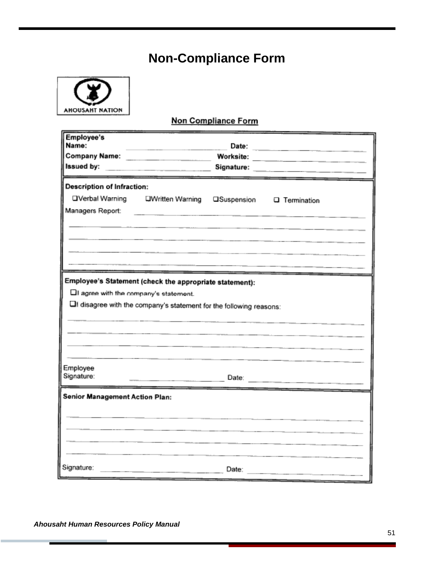## **Non-Compliance Form**

<span id="page-51-0"></span>

### Non Compliance Form

| Employee's                              |                                                                     |       |                                                                                           |
|-----------------------------------------|---------------------------------------------------------------------|-------|-------------------------------------------------------------------------------------------|
| Name:                                   |                                                                     | Date: | the control of the control of the control of the control of the control of the control of |
| Issued by:                              | Company Name: _______________________                               |       |                                                                                           |
|                                         |                                                                     |       |                                                                                           |
| <b>Description of Infraction:</b>       |                                                                     |       |                                                                                           |
| □Verbal Warning                         | <b>LIWritten Warning</b>                                            |       | □Suspension □ Termination                                                                 |
| Managers Report:                        | <u> 1980 - Andrea Andrewski, amerikansk politik (d. 1980)</u>       |       |                                                                                           |
|                                         |                                                                     |       |                                                                                           |
|                                         |                                                                     |       |                                                                                           |
|                                         |                                                                     |       |                                                                                           |
|                                         |                                                                     |       |                                                                                           |
|                                         |                                                                     |       |                                                                                           |
|                                         | Employee's Statement (check the appropriate statement):             |       |                                                                                           |
| Ell agree with the company's statement. |                                                                     |       |                                                                                           |
|                                         | LI disagree with the company's statement for the following reasons: |       |                                                                                           |
|                                         |                                                                     |       |                                                                                           |
|                                         |                                                                     |       |                                                                                           |
|                                         |                                                                     |       |                                                                                           |
|                                         |                                                                     |       |                                                                                           |
| Employee                                |                                                                     |       |                                                                                           |
| Signature:                              | Date:                                                               |       |                                                                                           |
| <b>Senior Management Action Plan:</b>   |                                                                     |       |                                                                                           |
|                                         |                                                                     |       |                                                                                           |
|                                         |                                                                     |       |                                                                                           |
|                                         |                                                                     |       |                                                                                           |
|                                         |                                                                     |       |                                                                                           |
|                                         |                                                                     |       |                                                                                           |
| Signature:                              |                                                                     | Date: |                                                                                           |
|                                         |                                                                     |       |                                                                                           |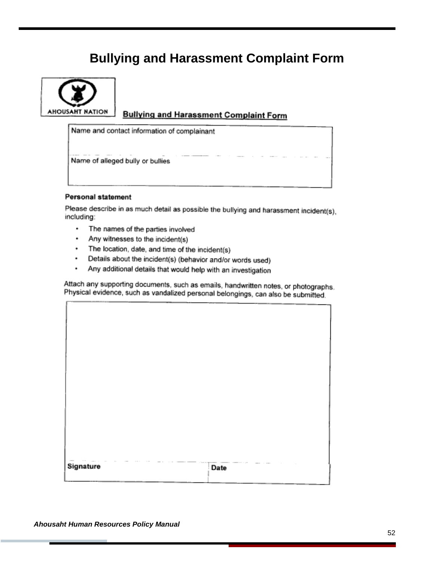## **Bullying and Harassment Complaint Form**

<span id="page-52-0"></span>

### **Bullying and Harassment Complaint Form**

Name and contact information of complainant

Name of alleged bully or bullies

#### Personal statement

Please describe in as much detail as possible the bullying and harassment incident(s), including:

- ٠ The names of the parties involved
- Any witnesses to the incident(s) ٠
- The location, date, and time of the incident(s) ٠
- Details about the incident(s) (behavior and/or words used) ۰
- $\ddot{\phantom{0}}$ Any additional details that would help with an investigation

Attach any supporting documents, such as emails, handwritten notes, or photographs. Physical evidence, such as vandalized personal belongings, can also be submitted.

| Signature | Date |  |
|-----------|------|--|